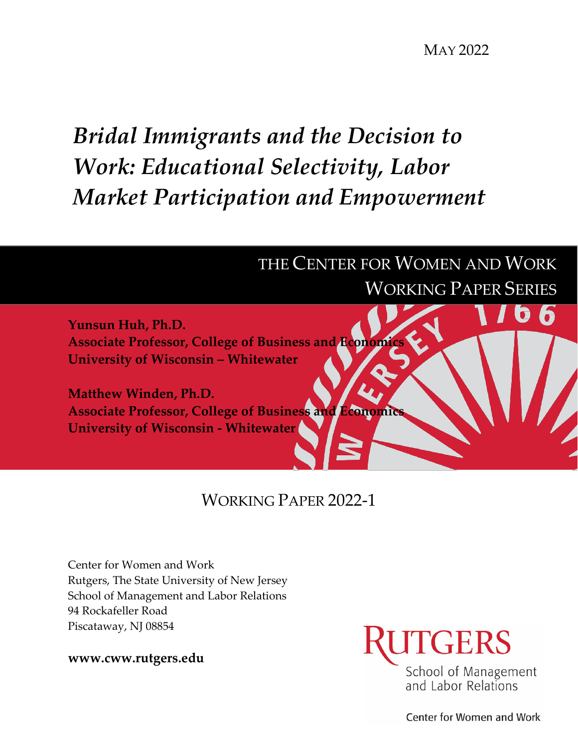MAY 2022

# *Bridal Immigrants and the Decision to Work: Educational Selectivity, Labor Market Participation and Empowerment*



WORKING PAPER 2022-1

Center for Women and Work Rutgers, The State University of New Jersey School of Management and Labor Relations 94 Rockafeller Road Piscataway, NJ 08854

**www.cww.rutgers.edu**



Center for Women and Work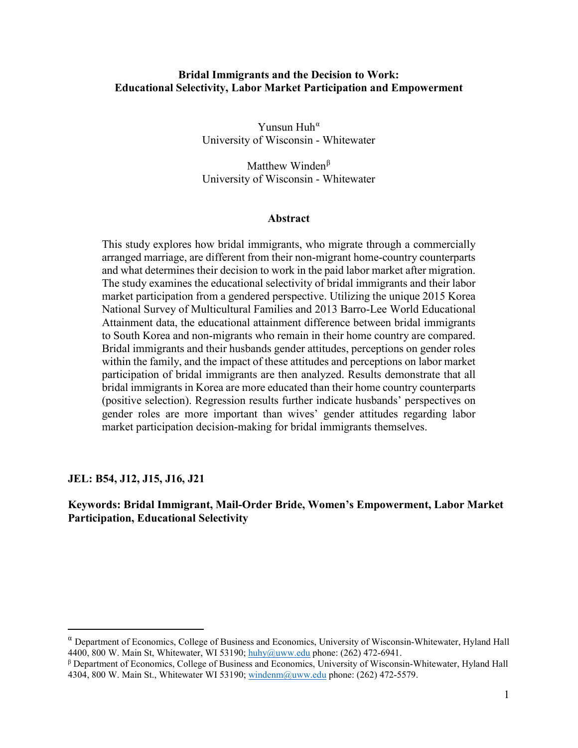## **Bridal Immigrants and the Decision to Work: Educational Selectivity, Labor Market Participation and Empowerment**

Yunsun Huh<sup> $\alpha$ </sup> University of Wisconsin - Whitewater

Matthew Winden $\beta$ University of Wisconsin - Whitewater

#### **Abstract**

This study explores how bridal immigrants, who migrate through a commercially arranged marriage, are different from their non-migrant home-country counterparts and what determines their decision to work in the paid labor market after migration. The study examines the educational selectivity of bridal immigrants and their labor market participation from a gendered perspective. Utilizing the unique 2015 Korea National Survey of Multicultural Families and 2013 Barro-Lee World Educational Attainment data, the educational attainment difference between bridal immigrants to South Korea and non-migrants who remain in their home country are compared. Bridal immigrants and their husbands gender attitudes, perceptions on gender roles within the family, and the impact of these attitudes and perceptions on labor market participation of bridal immigrants are then analyzed. Results demonstrate that all bridal immigrants in Korea are more educated than their home country counterparts (positive selection). Regression results further indicate husbands' perspectives on gender roles are more important than wives' gender attitudes regarding labor market participation decision-making for bridal immigrants themselves.

**JEL: B54, J12, J15, J16, J21** 

 $\overline{a}$ 

**Keywords: Bridal Immigrant, Mail-Order Bride, Women's Empowerment, Labor Market Participation, Educational Selectivity** 

<span id="page-1-0"></span> $\alpha$  Department of Economics, College of Business and Economics, University of Wisconsin-Whitewater, Hyland Hall 4400, 800 W. Main St, Whitewater, WI 53190; [huhy@uww.edu](mailto:huhy@uww.edu) phone: (262) 472-6941.

<span id="page-1-1"></span> $β$  Department of Economics, College of Business and Economics, University of Wisconsin-Whitewater, Hyland Hall 4304, 800 W. Main St., Whitewater WI 53190; [windenm@uww.edu](mailto:windenm@uww.edu) phone: (262) 472-5579.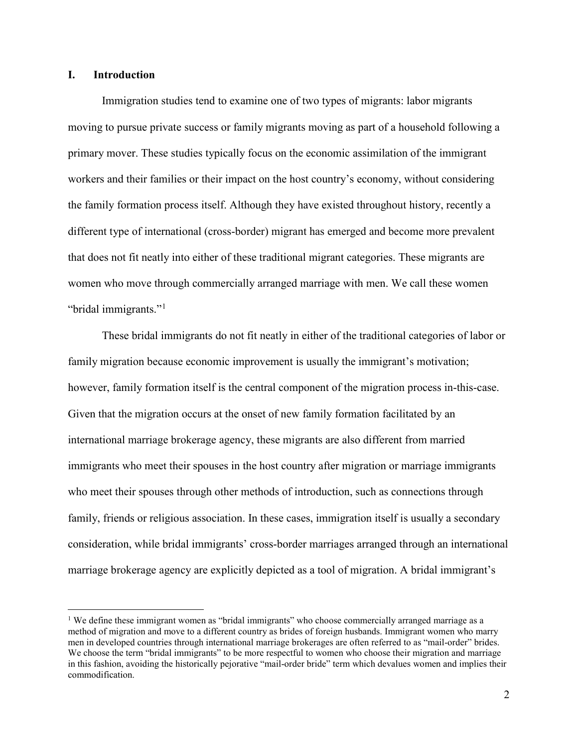## **I. Introduction**

Immigration studies tend to examine one of two types of migrants: labor migrants moving to pursue private success or family migrants moving as part of a household following a primary mover. These studies typically focus on the economic assimilation of the immigrant workers and their families or their impact on the host country's economy, without considering the family formation process itself. Although they have existed throughout history, recently a different type of international (cross-border) migrant has emerged and become more prevalent that does not fit neatly into either of these traditional migrant categories. These migrants are women who move through commercially arranged marriage with men. We call these women "bridal immigrants."[1](#page-2-0)

These bridal immigrants do not fit neatly in either of the traditional categories of labor or family migration because economic improvement is usually the immigrant's motivation; however, family formation itself is the central component of the migration process in-this-case. Given that the migration occurs at the onset of new family formation facilitated by an international marriage brokerage agency, these migrants are also different from married immigrants who meet their spouses in the host country after migration or marriage immigrants who meet their spouses through other methods of introduction, such as connections through family, friends or religious association. In these cases, immigration itself is usually a secondary consideration, while bridal immigrants' cross-border marriages arranged through an international marriage brokerage agency are explicitly depicted as a tool of migration. A bridal immigrant's

<span id="page-2-0"></span><sup>&</sup>lt;sup>1</sup> We define these immigrant women as "bridal immigrants" who choose commercially arranged marriage as a method of migration and move to a different country as brides of foreign husbands. Immigrant women who marry men in developed countries through international marriage brokerages are often referred to as "mail-order" brides. We choose the term "bridal immigrants" to be more respectful to women who choose their migration and marriage in this fashion, avoiding the historically pejorative "mail-order bride" term which devalues women and implies their commodification.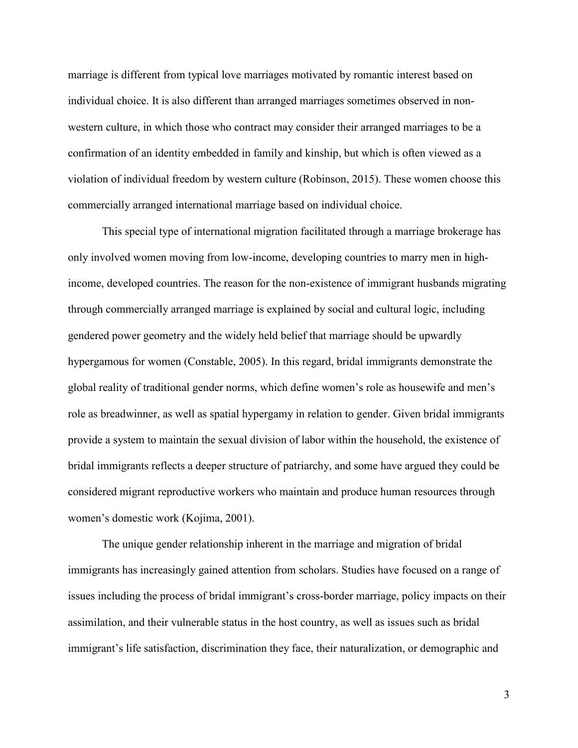marriage is different from typical love marriages motivated by romantic interest based on individual choice. It is also different than arranged marriages sometimes observed in nonwestern culture, in which those who contract may consider their arranged marriages to be a confirmation of an identity embedded in family and kinship, but which is often viewed as a violation of individual freedom by western culture (Robinson, 2015). These women choose this commercially arranged international marriage based on individual choice.

This special type of international migration facilitated through a marriage brokerage has only involved women moving from low-income, developing countries to marry men in highincome, developed countries. The reason for the non-existence of immigrant husbands migrating through commercially arranged marriage is explained by social and cultural logic, including gendered power geometry and the widely held belief that marriage should be upwardly hypergamous for women (Constable, 2005). In this regard, bridal immigrants demonstrate the global reality of traditional gender norms, which define women's role as housewife and men's role as breadwinner, as well as spatial hypergamy in relation to gender. Given bridal immigrants provide a system to maintain the sexual division of labor within the household, the existence of bridal immigrants reflects a deeper structure of patriarchy, and some have argued they could be considered migrant reproductive workers who maintain and produce human resources through women's domestic work (Kojima, 2001).

The unique gender relationship inherent in the marriage and migration of bridal immigrants has increasingly gained attention from scholars. Studies have focused on a range of issues including the process of bridal immigrant's cross-border marriage, policy impacts on their assimilation, and their vulnerable status in the host country, as well as issues such as bridal immigrant's life satisfaction, discrimination they face, their naturalization, or demographic and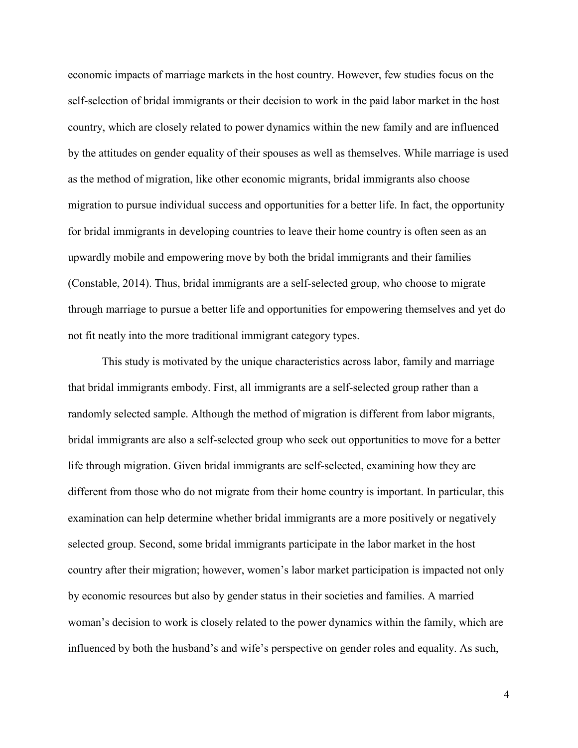economic impacts of marriage markets in the host country. However, few studies focus on the self-selection of bridal immigrants or their decision to work in the paid labor market in the host country, which are closely related to power dynamics within the new family and are influenced by the attitudes on gender equality of their spouses as well as themselves. While marriage is used as the method of migration, like other economic migrants, bridal immigrants also choose migration to pursue individual success and opportunities for a better life. In fact, the opportunity for bridal immigrants in developing countries to leave their home country is often seen as an upwardly mobile and empowering move by both the bridal immigrants and their families (Constable, 2014). Thus, bridal immigrants are a self-selected group, who choose to migrate through marriage to pursue a better life and opportunities for empowering themselves and yet do not fit neatly into the more traditional immigrant category types.

This study is motivated by the unique characteristics across labor, family and marriage that bridal immigrants embody. First, all immigrants are a self-selected group rather than a randomly selected sample. Although the method of migration is different from labor migrants, bridal immigrants are also a self-selected group who seek out opportunities to move for a better life through migration. Given bridal immigrants are self-selected, examining how they are different from those who do not migrate from their home country is important. In particular, this examination can help determine whether bridal immigrants are a more positively or negatively selected group. Second, some bridal immigrants participate in the labor market in the host country after their migration; however, women's labor market participation is impacted not only by economic resources but also by gender status in their societies and families. A married woman's decision to work is closely related to the power dynamics within the family, which are influenced by both the husband's and wife's perspective on gender roles and equality. As such,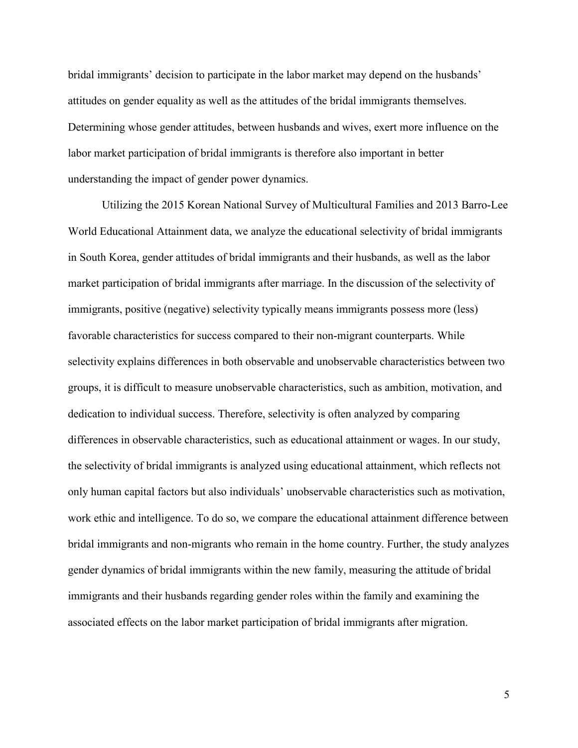bridal immigrants' decision to participate in the labor market may depend on the husbands' attitudes on gender equality as well as the attitudes of the bridal immigrants themselves. Determining whose gender attitudes, between husbands and wives, exert more influence on the labor market participation of bridal immigrants is therefore also important in better understanding the impact of gender power dynamics.

Utilizing the 2015 Korean National Survey of Multicultural Families and 2013 Barro-Lee World Educational Attainment data, we analyze the educational selectivity of bridal immigrants in South Korea, gender attitudes of bridal immigrants and their husbands, as well as the labor market participation of bridal immigrants after marriage. In the discussion of the selectivity of immigrants, positive (negative) selectivity typically means immigrants possess more (less) favorable characteristics for success compared to their non-migrant counterparts. While selectivity explains differences in both observable and unobservable characteristics between two groups, it is difficult to measure unobservable characteristics, such as ambition, motivation, and dedication to individual success. Therefore, selectivity is often analyzed by comparing differences in observable characteristics, such as educational attainment or wages. In our study, the selectivity of bridal immigrants is analyzed using educational attainment, which reflects not only human capital factors but also individuals' unobservable characteristics such as motivation, work ethic and intelligence. To do so, we compare the educational attainment difference between bridal immigrants and non-migrants who remain in the home country. Further, the study analyzes gender dynamics of bridal immigrants within the new family, measuring the attitude of bridal immigrants and their husbands regarding gender roles within the family and examining the associated effects on the labor market participation of bridal immigrants after migration.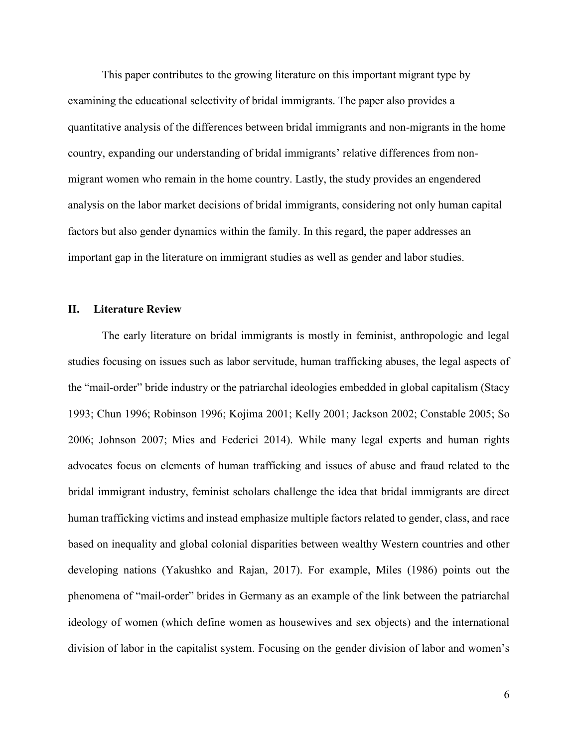This paper contributes to the growing literature on this important migrant type by examining the educational selectivity of bridal immigrants. The paper also provides a quantitative analysis of the differences between bridal immigrants and non-migrants in the home country, expanding our understanding of bridal immigrants' relative differences from nonmigrant women who remain in the home country. Lastly, the study provides an engendered analysis on the labor market decisions of bridal immigrants, considering not only human capital factors but also gender dynamics within the family. In this regard, the paper addresses an important gap in the literature on immigrant studies as well as gender and labor studies.

#### **II. Literature Review**

The early literature on bridal immigrants is mostly in feminist, anthropologic and legal studies focusing on issues such as labor servitude, human trafficking abuses, the legal aspects of the "mail-order" bride industry or the patriarchal ideologies embedded in global capitalism (Stacy 1993; Chun 1996; Robinson 1996; Kojima 2001; Kelly 2001; Jackson 2002; Constable 2005; So 2006; Johnson 2007; Mies and Federici 2014). While many legal experts and human rights advocates focus on elements of human trafficking and issues of abuse and fraud related to the bridal immigrant industry, feminist scholars challenge the idea that bridal immigrants are direct human trafficking victims and instead emphasize multiple factors related to gender, class, and race based on inequality and global colonial disparities between wealthy Western countries and other developing nations (Yakushko and Rajan, 2017). For example, Miles (1986) points out the phenomena of "mail-order" brides in Germany as an example of the link between the patriarchal ideology of women (which define women as housewives and sex objects) and the international division of labor in the capitalist system. Focusing on the gender division of labor and women's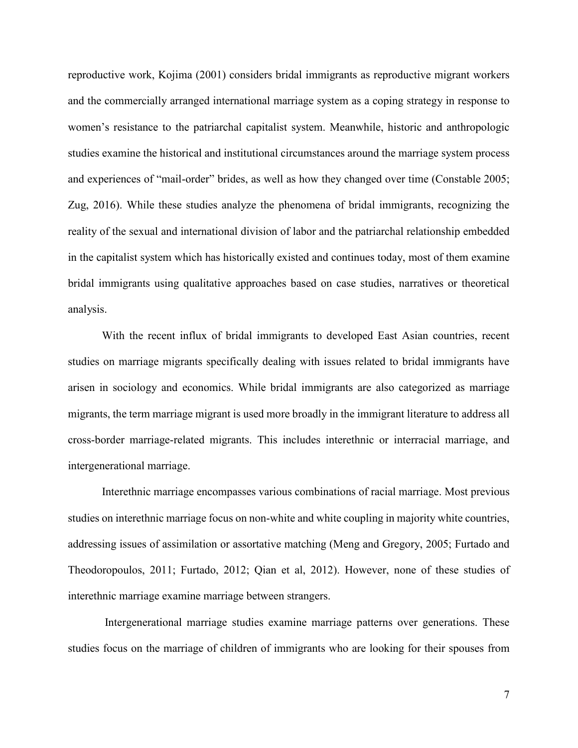reproductive work, Kojima (2001) considers bridal immigrants as reproductive migrant workers and the commercially arranged international marriage system as a coping strategy in response to women's resistance to the patriarchal capitalist system. Meanwhile, historic and anthropologic studies examine the historical and institutional circumstances around the marriage system process and experiences of "mail-order" brides, as well as how they changed over time (Constable 2005; Zug, 2016). While these studies analyze the phenomena of bridal immigrants, recognizing the reality of the sexual and international division of labor and the patriarchal relationship embedded in the capitalist system which has historically existed and continues today, most of them examine bridal immigrants using qualitative approaches based on case studies, narratives or theoretical analysis.

With the recent influx of bridal immigrants to developed East Asian countries, recent studies on marriage migrants specifically dealing with issues related to bridal immigrants have arisen in sociology and economics. While bridal immigrants are also categorized as marriage migrants, the term marriage migrant is used more broadly in the immigrant literature to address all cross-border marriage-related migrants. This includes interethnic or interracial marriage, and intergenerational marriage.

Interethnic marriage encompasses various combinations of racial marriage. Most previous studies on interethnic marriage focus on non-white and white coupling in majority white countries, addressing issues of assimilation or assortative matching (Meng and Gregory, 2005; Furtado and Theodoropoulos, 2011; Furtado, 2012; Qian et al, 2012). However, none of these studies of interethnic marriage examine marriage between strangers.

Intergenerational marriage studies examine marriage patterns over generations. These studies focus on the marriage of children of immigrants who are looking for their spouses from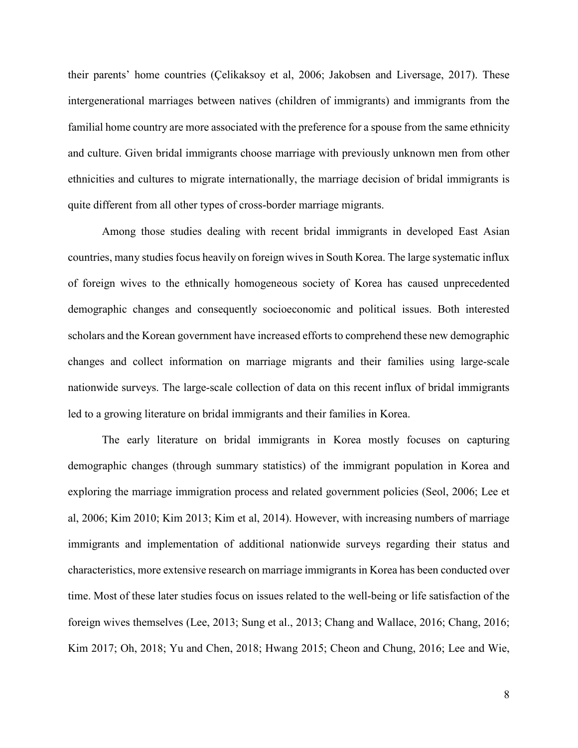their parents' home countries (Çelikaksoy et al, 2006; Jakobsen and Liversage, 2017). These intergenerational marriages between natives (children of immigrants) and immigrants from the familial home country are more associated with the preference for a spouse from the same ethnicity and culture. Given bridal immigrants choose marriage with previously unknown men from other ethnicities and cultures to migrate internationally, the marriage decision of bridal immigrants is quite different from all other types of cross-border marriage migrants.

Among those studies dealing with recent bridal immigrants in developed East Asian countries, many studies focus heavily on foreign wives in South Korea. The large systematic influx of foreign wives to the ethnically homogeneous society of Korea has caused unprecedented demographic changes and consequently socioeconomic and political issues. Both interested scholars and the Korean government have increased efforts to comprehend these new demographic changes and collect information on marriage migrants and their families using large-scale nationwide surveys. The large-scale collection of data on this recent influx of bridal immigrants led to a growing literature on bridal immigrants and their families in Korea.

The early literature on bridal immigrants in Korea mostly focuses on capturing demographic changes (through summary statistics) of the immigrant population in Korea and exploring the marriage immigration process and related government policies (Seol, 2006; Lee et al, 2006; Kim 2010; Kim 2013; Kim et al, 2014). However, with increasing numbers of marriage immigrants and implementation of additional nationwide surveys regarding their status and characteristics, more extensive research on marriage immigrants in Korea has been conducted over time. Most of these later studies focus on issues related to the well-being or life satisfaction of the foreign wives themselves (Lee, 2013; Sung et al., 2013; Chang and Wallace, 2016; Chang, 2016; Kim 2017; Oh, 2018; Yu and Chen, 2018; Hwang 2015; Cheon and Chung, 2016; Lee and Wie,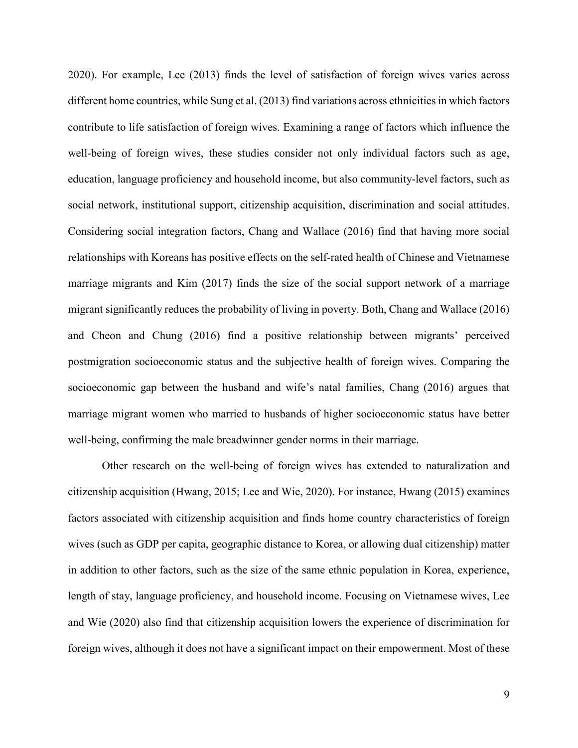2020). For example, Lee (2013) finds the level of satisfaction of foreign wives varies across different home countries, while Sung et al. (2013) find variations across ethnicities in which factors contribute to life satisfaction of foreign wives. Examining a range of factors which influence the well-being of foreign wives, these studies consider not only individual factors such as age, education, language proficiency and household income, but also community-level factors, such as social network, institutional support, citizenship acquisition, discrimination and social attitudes. Considering social integration factors, Chang and Wallace (2016) find that having more social relationships with Koreans has positive effects on the self-rated health of Chinese and Vietnamese marriage migrants and Kim (2017) finds the size of the social support network of a marriage migrant significantly reduces the probability of living in poverty. Both, Chang and Wallace (2016) and Cheon and Chung (2016) find a positive relationship between migrants' perceived postmigration socioeconomic status and the subjective health of foreign wives. Comparing the socioeconomic gap between the husband and wife's natal families, Chang (2016) argues that marriage migrant women who married to husbands of higher socioeconomic status have better well-being, confirming the male breadwinner gender norms in their marriage.

Other research on the well-being of foreign wives has extended to naturalization and citizenship acquisition (Hwang, 2015; Lee and Wie, 2020). For instance, Hwang (2015) examines factors associated with citizenship acquisition and finds home country characteristics of foreign wives (such as GDP per capita, geographic distance to Korea, or allowing dual citizenship) matter in addition to other factors, such as the size of the same ethnic population in Korea, experience, length of stay, language proficiency, and household income. Focusing on Vietnamese wives, Lee and Wie (2020) also find that citizenship acquisition lowers the experience of discrimination for foreign wives, although it does not have a significant impact on their empowerment. Most of these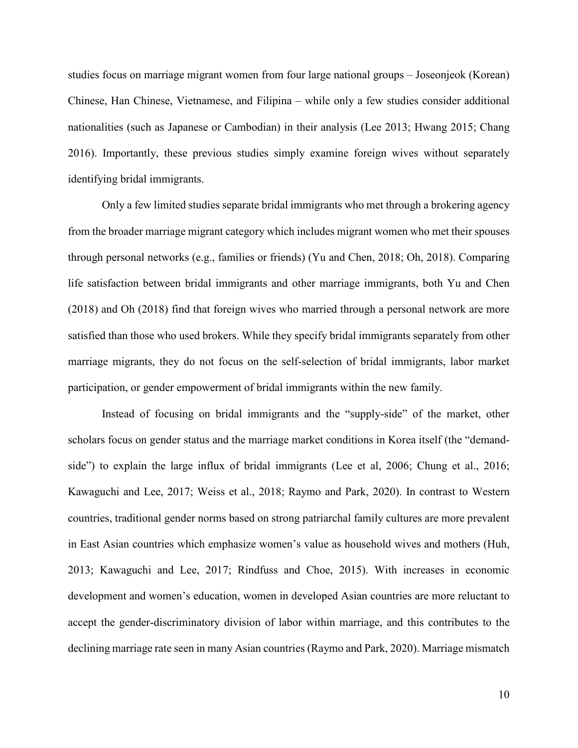studies focus on marriage migrant women from four large national groups – Joseonjeok (Korean) Chinese, Han Chinese, Vietnamese, and Filipina – while only a few studies consider additional nationalities (such as Japanese or Cambodian) in their analysis (Lee 2013; Hwang 2015; Chang 2016). Importantly, these previous studies simply examine foreign wives without separately identifying bridal immigrants.

Only a few limited studies separate bridal immigrants who met through a brokering agency from the broader marriage migrant category which includes migrant women who met their spouses through personal networks (e.g., families or friends) (Yu and Chen, 2018; Oh, 2018). Comparing life satisfaction between bridal immigrants and other marriage immigrants, both Yu and Chen (2018) and Oh (2018) find that foreign wives who married through a personal network are more satisfied than those who used brokers. While they specify bridal immigrants separately from other marriage migrants, they do not focus on the self-selection of bridal immigrants, labor market participation, or gender empowerment of bridal immigrants within the new family.

Instead of focusing on bridal immigrants and the "supply-side" of the market, other scholars focus on gender status and the marriage market conditions in Korea itself (the "demandside") to explain the large influx of bridal immigrants (Lee et al, 2006; Chung et al., 2016; Kawaguchi and Lee, 2017; Weiss et al., 2018; Raymo and Park, 2020). In contrast to Western countries, traditional gender norms based on strong patriarchal family cultures are more prevalent in East Asian countries which emphasize women's value as household wives and mothers (Huh, 2013; Kawaguchi and Lee, 2017; Rindfuss and Choe, 2015). With increases in economic development and women's education, women in developed Asian countries are more reluctant to accept the gender-discriminatory division of labor within marriage, and this contributes to the declining marriage rate seen in many Asian countries (Raymo and Park, 2020). Marriage mismatch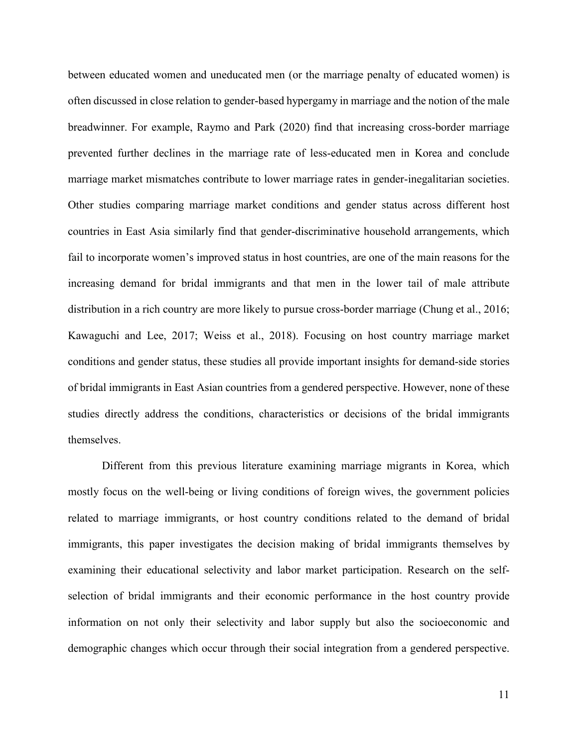between educated women and uneducated men (or the marriage penalty of educated women) is often discussed in close relation to gender-based hypergamy in marriage and the notion of the male breadwinner. For example, Raymo and Park (2020) find that increasing cross-border marriage prevented further declines in the marriage rate of less-educated men in Korea and conclude marriage market mismatches contribute to lower marriage rates in gender-inegalitarian societies. Other studies comparing marriage market conditions and gender status across different host countries in East Asia similarly find that gender-discriminative household arrangements, which fail to incorporate women's improved status in host countries, are one of the main reasons for the increasing demand for bridal immigrants and that men in the lower tail of male attribute distribution in a rich country are more likely to pursue cross-border marriage (Chung et al., 2016; Kawaguchi and Lee, 2017; Weiss et al., 2018). Focusing on host country marriage market conditions and gender status, these studies all provide important insights for demand-side stories of bridal immigrants in East Asian countries from a gendered perspective. However, none of these studies directly address the conditions, characteristics or decisions of the bridal immigrants themselves.

Different from this previous literature examining marriage migrants in Korea, which mostly focus on the well-being or living conditions of foreign wives, the government policies related to marriage immigrants, or host country conditions related to the demand of bridal immigrants, this paper investigates the decision making of bridal immigrants themselves by examining their educational selectivity and labor market participation. Research on the selfselection of bridal immigrants and their economic performance in the host country provide information on not only their selectivity and labor supply but also the socioeconomic and demographic changes which occur through their social integration from a gendered perspective.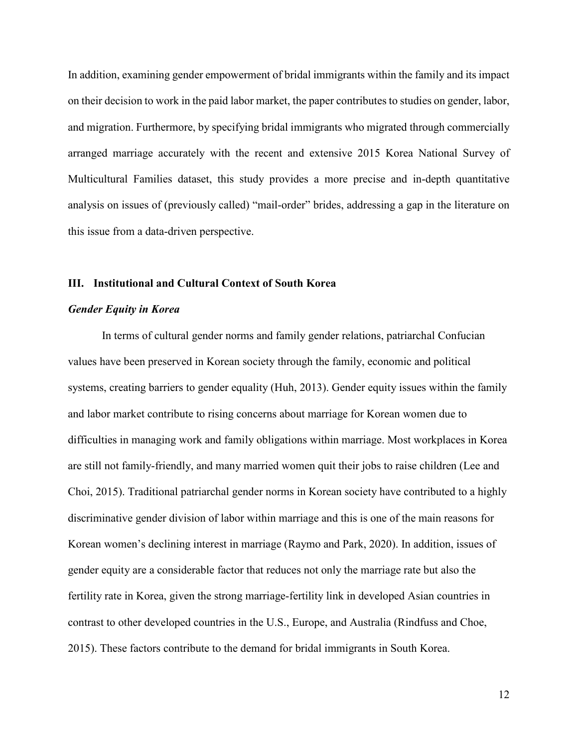In addition, examining gender empowerment of bridal immigrants within the family and its impact on their decision to work in the paid labor market, the paper contributes to studies on gender, labor, and migration. Furthermore, by specifying bridal immigrants who migrated through commercially arranged marriage accurately with the recent and extensive 2015 Korea National Survey of Multicultural Families dataset, this study provides a more precise and in-depth quantitative analysis on issues of (previously called) "mail-order" brides, addressing a gap in the literature on this issue from a data-driven perspective.

#### **III. Institutional and Cultural Context of South Korea**

#### *Gender Equity in Korea*

In terms of cultural gender norms and family gender relations, patriarchal Confucian values have been preserved in Korean society through the family, economic and political systems, creating barriers to gender equality (Huh, 2013). Gender equity issues within the family and labor market contribute to rising concerns about marriage for Korean women due to difficulties in managing work and family obligations within marriage. Most workplaces in Korea are still not family-friendly, and many married women quit their jobs to raise children (Lee and Choi, 2015). Traditional patriarchal gender norms in Korean society have contributed to a highly discriminative gender division of labor within marriage and this is one of the main reasons for Korean women's declining interest in marriage (Raymo and Park, 2020). In addition, issues of gender equity are a considerable factor that reduces not only the marriage rate but also the fertility rate in Korea, given the strong marriage-fertility link in developed Asian countries in contrast to other developed countries in the U.S., Europe, and Australia (Rindfuss and Choe, 2015). These factors contribute to the demand for bridal immigrants in South Korea.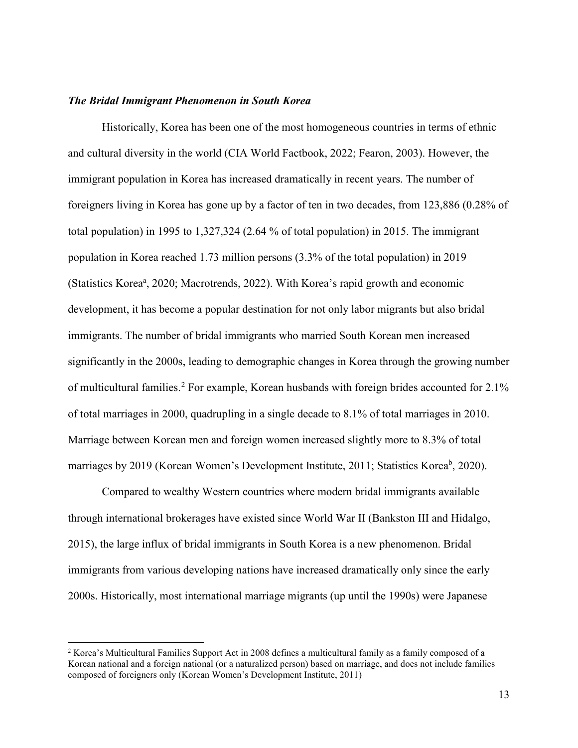#### *The Bridal Immigrant Phenomenon in South Korea*

Historically, Korea has been one of the most homogeneous countries in terms of ethnic and cultural diversity in the world (CIA World Factbook, 2022; Fearon, 2003). However, the immigrant population in Korea has increased dramatically in recent years. The number of foreigners living in Korea has gone up by a factor of ten in two decades, from 123,886 (0.28% of total population) in 1995 to 1,327,324 (2.64 % of total population) in 2015. The immigrant population in Korea reached 1.73 million persons (3.3% of the total population) in 2019 (Statistics Korea<sup>a</sup>, 2020; Macrotrends, 2022). With Korea's rapid growth and economic development, it has become a popular destination for not only labor migrants but also bridal immigrants. The number of bridal immigrants who married South Korean men increased significantly in the 2000s, leading to demographic changes in Korea through the growing number of multicultural families.<sup>[2](#page-13-0)</sup> For example, Korean husbands with foreign brides accounted for 2.1% of total marriages in 2000, quadrupling in a single decade to 8.1% of total marriages in 2010. Marriage between Korean men and foreign women increased slightly more to 8.3% of total marriages by 2019 (Korean Women's Development Institute, 2011; Statistics Korea<sup>b</sup>, 2020).

Compared to wealthy Western countries where modern bridal immigrants available through international brokerages have existed since World War II (Bankston III and Hidalgo, 2015), the large influx of bridal immigrants in South Korea is a new phenomenon. Bridal immigrants from various developing nations have increased dramatically only since the early 2000s. Historically, most international marriage migrants (up until the 1990s) were Japanese

<span id="page-13-0"></span> <sup>2</sup> Korea's Multicultural Families Support Act in 2008 defines a multicultural family as a family composed of a Korean national and a foreign national (or a naturalized person) based on marriage, and does not include families composed of foreigners only (Korean Women's Development Institute, 2011)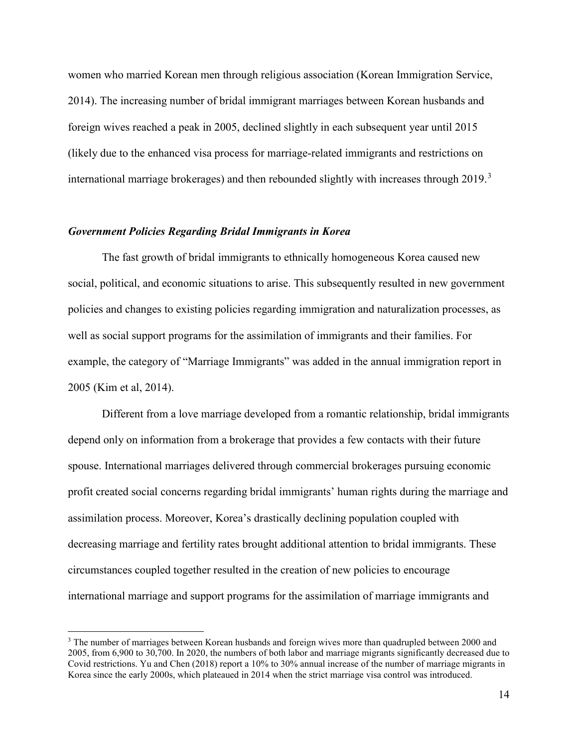women who married Korean men through religious association (Korean Immigration Service, 2014). The increasing number of bridal immigrant marriages between Korean husbands and foreign wives reached a peak in 2005, declined slightly in each subsequent year until 2015 (likely due to the enhanced visa process for marriage-related immigrants and restrictions on international marriage brokerages) and then rebounded slightly with increases through 2019.<sup>[3](#page-14-0)</sup>

#### *Government Policies Regarding Bridal Immigrants in Korea*

The fast growth of bridal immigrants to ethnically homogeneous Korea caused new social, political, and economic situations to arise. This subsequently resulted in new government policies and changes to existing policies regarding immigration and naturalization processes, as well as social support programs for the assimilation of immigrants and their families. For example, the category of "Marriage Immigrants" was added in the annual immigration report in 2005 (Kim et al, 2014).

Different from a love marriage developed from a romantic relationship, bridal immigrants depend only on information from a brokerage that provides a few contacts with their future spouse. International marriages delivered through commercial brokerages pursuing economic profit created social concerns regarding bridal immigrants' human rights during the marriage and assimilation process. Moreover, Korea's drastically declining population coupled with decreasing marriage and fertility rates brought additional attention to bridal immigrants. These circumstances coupled together resulted in the creation of new policies to encourage international marriage and support programs for the assimilation of marriage immigrants and

<span id="page-14-0"></span><sup>&</sup>lt;sup>3</sup> The number of marriages between Korean husbands and foreign wives more than quadrupled between 2000 and 2005, from 6,900 to 30,700. In 2020, the numbers of both labor and marriage migrants significantly decreased due to Covid restrictions. Yu and Chen (2018) report a 10% to 30% annual increase of the number of marriage migrants in Korea since the early 2000s, which plateaued in 2014 when the strict marriage visa control was introduced.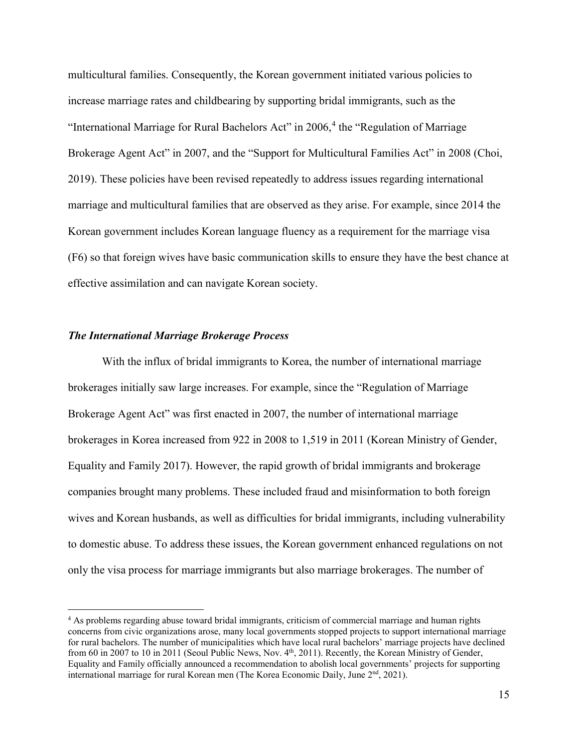multicultural families. Consequently, the Korean government initiated various policies to increase marriage rates and childbearing by supporting bridal immigrants, such as the "International Marriage for Rural Bachelors Act" in 2006,<sup>[4](#page-15-0)</sup> the "Regulation of Marriage Brokerage Agent Act" in 2007, and the "Support for Multicultural Families Act" in 2008 (Choi, 2019). These policies have been revised repeatedly to address issues regarding international marriage and multicultural families that are observed as they arise. For example, since 2014 the Korean government includes Korean language fluency as a requirement for the marriage visa (F6) so that foreign wives have basic communication skills to ensure they have the best chance at effective assimilation and can navigate Korean society.

#### *The International Marriage Brokerage Process*

With the influx of bridal immigrants to Korea, the number of international marriage brokerages initially saw large increases. For example, since the "Regulation of Marriage Brokerage Agent Act" was first enacted in 2007, the number of international marriage brokerages in Korea increased from 922 in 2008 to 1,519 in 2011 (Korean Ministry of Gender, Equality and Family 2017). However, the rapid growth of bridal immigrants and brokerage companies brought many problems. These included fraud and misinformation to both foreign wives and Korean husbands, as well as difficulties for bridal immigrants, including vulnerability to domestic abuse. To address these issues, the Korean government enhanced regulations on not only the visa process for marriage immigrants but also marriage brokerages. The number of

<span id="page-15-0"></span><sup>&</sup>lt;sup>4</sup> As problems regarding abuse toward bridal immigrants, criticism of commercial marriage and human rights concerns from civic organizations arose, many local governments stopped projects to support international marriage for rural bachelors. The number of municipalities which have local rural bachelors' marriage projects have declined from 60 in 2007 to 10 in 2011 (Seoul Public News, Nov. 4<sup>th</sup>, 2011). Recently, the Korean Ministry of Gender, Equality and Family officially announced a recommendation to abolish local governments' projects for supporting international marriage for rural Korean men (The Korea Economic Daily, June 2<sup>nd</sup>, 2021).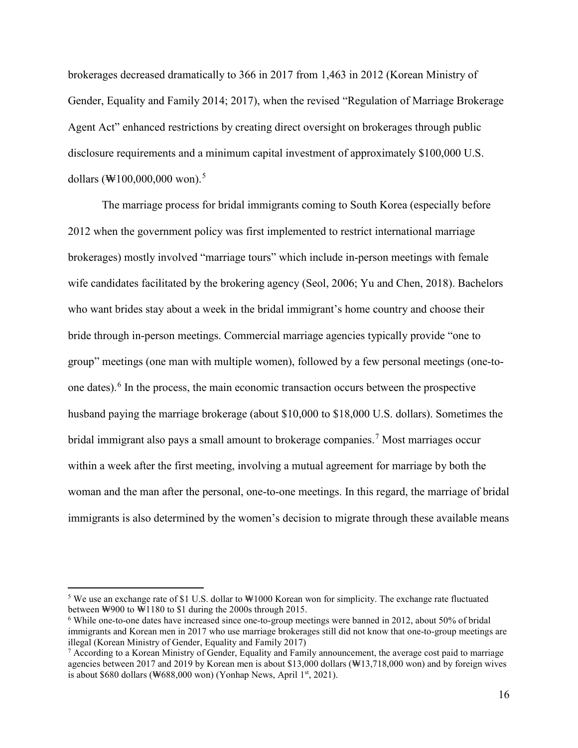brokerages decreased dramatically to 366 in 2017 from 1,463 in 2012 (Korean Ministry of Gender, Equality and Family 2014; 2017), when the revised "Regulation of Marriage Brokerage Agent Act" enhanced restrictions by creating direct oversight on brokerages through public disclosure requirements and a minimum capital investment of approximately \$100,000 U.S. dollars  $(\text{W100,000,000}$  won).<sup>[5](#page-16-0)</sup>

The marriage process for bridal immigrants coming to South Korea (especially before 2012 when the government policy was first implemented to restrict international marriage brokerages) mostly involved "marriage tours" which include in-person meetings with female wife candidates facilitated by the brokering agency (Seol, 2006; Yu and Chen, 2018). Bachelors who want brides stay about a week in the bridal immigrant's home country and choose their bride through in-person meetings. Commercial marriage agencies typically provide "one to group" meetings (one man with multiple women), followed by a few personal meetings (one-toone dates).[6](#page-16-1) In the process, the main economic transaction occurs between the prospective husband paying the marriage brokerage (about \$10,000 to \$18,000 U.S. dollars). Sometimes the bridal immigrant also pays a small amount to brokerage companies. [7](#page-16-2) Most marriages occur within a week after the first meeting, involving a mutual agreement for marriage by both the woman and the man after the personal, one-to-one meetings. In this regard, the marriage of bridal immigrants is also determined by the women's decision to migrate through these available means

<span id="page-16-0"></span> <sup>5</sup> We use an exchange rate of \$1 U.S. dollar to ₩1000 Korean won for simplicity. The exchange rate fluctuated between ₩900 to ₩1180 to \$1 during the 2000s through 2015.

<span id="page-16-1"></span><sup>6</sup> While one-to-one dates have increased since one-to-group meetings were banned in 2012, about 50% of bridal immigrants and Korean men in 2017 who use marriage brokerages still did not know that one-to-group meetings are illegal (Korean Ministry of Gender, Equality and Family 2017)

<span id="page-16-2"></span><sup>7</sup> According to a Korean Ministry of Gender, Equality and Family announcement, the average cost paid to marriage agencies between 2017 and 2019 by Korean men is about \$13,000 dollars (₩13,718,000 won) and by foreign wives is about \$680 dollars ( $\text{W688,000}$  won) (Yonhap News, April 1<sup>st</sup>, 2021).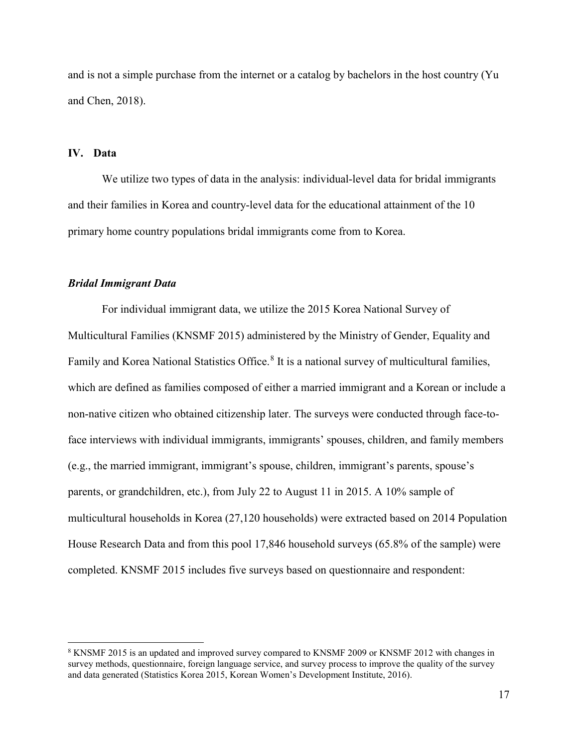and is not a simple purchase from the internet or a catalog by bachelors in the host country (Yu and Chen, 2018).

#### **IV. Data**

We utilize two types of data in the analysis: individual-level data for bridal immigrants and their families in Korea and country-level data for the educational attainment of the 10 primary home country populations bridal immigrants come from to Korea.

#### *Bridal Immigrant Data*

For individual immigrant data, we utilize the 2015 Korea National Survey of Multicultural Families (KNSMF 2015) administered by the Ministry of Gender, Equality and Family and Korea National Statistics Office.<sup>[8](#page-17-0)</sup> It is a national survey of multicultural families, which are defined as families composed of either a married immigrant and a Korean or include a non-native citizen who obtained citizenship later. The surveys were conducted through face-toface interviews with individual immigrants, immigrants' spouses, children, and family members (e.g., the married immigrant, immigrant's spouse, children, immigrant's parents, spouse's parents, or grandchildren, etc.), from July 22 to August 11 in 2015. A 10% sample of multicultural households in Korea (27,120 households) were extracted based on 2014 Population House Research Data and from this pool 17,846 household surveys (65.8% of the sample) were completed. KNSMF 2015 includes five surveys based on questionnaire and respondent:

<span id="page-17-0"></span> <sup>8</sup> KNSMF 2015 is an updated and improved survey compared to KNSMF 2009 or KNSMF 2012 with changes in survey methods, questionnaire, foreign language service, and survey process to improve the quality of the survey and data generated (Statistics Korea 2015, Korean Women's Development Institute, 2016).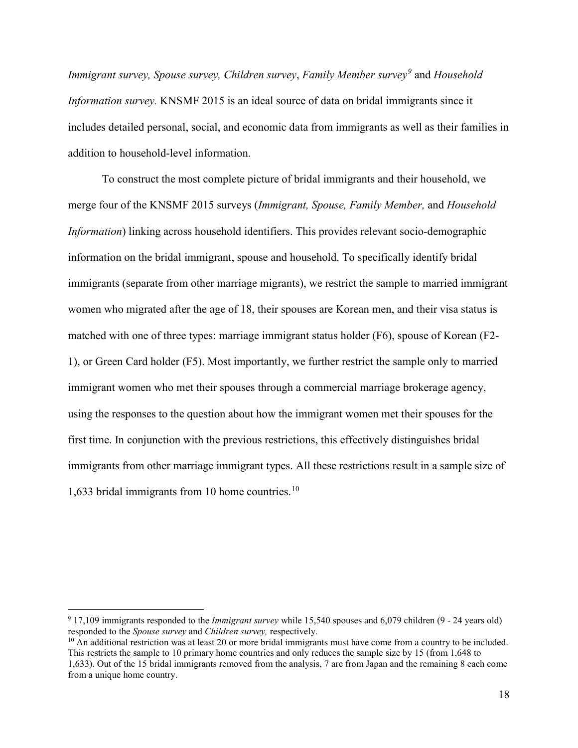*Immigrant survey, Spouse survey, Children survey*, *Family Member survey[9](#page-18-0)* and *Household Information survey.* KNSMF 2015 is an ideal source of data on bridal immigrants since it includes detailed personal, social, and economic data from immigrants as well as their families in addition to household-level information.

To construct the most complete picture of bridal immigrants and their household, we merge four of the KNSMF 2015 surveys (*Immigrant, Spouse, Family Member,* and *Household Information*) linking across household identifiers. This provides relevant socio-demographic information on the bridal immigrant, spouse and household. To specifically identify bridal immigrants (separate from other marriage migrants), we restrict the sample to married immigrant women who migrated after the age of 18, their spouses are Korean men, and their visa status is matched with one of three types: marriage immigrant status holder (F6), spouse of Korean (F2- 1), or Green Card holder (F5). Most importantly, we further restrict the sample only to married immigrant women who met their spouses through a commercial marriage brokerage agency, using the responses to the question about how the immigrant women met their spouses for the first time. In conjunction with the previous restrictions, this effectively distinguishes bridal immigrants from other marriage immigrant types. All these restrictions result in a sample size of 1,633 bridal immigrants from 10 home countries. [10](#page-18-1)

<span id="page-18-1"></span> $10$  An additional restriction was at least 20 or more bridal immigrants must have come from a country to be included. This restricts the sample to 10 primary home countries and only reduces the sample size by 15 (from 1,648 to

<span id="page-18-0"></span> <sup>9</sup> 17,109 immigrants responded to the *Immigrant survey* while 15,540 spouses and 6,079 children (9 - 24 years old) responded to the *Spouse survey* and *Children survey,* respectively.

<sup>1,633).</sup> Out of the 15 bridal immigrants removed from the analysis, 7 are from Japan and the remaining 8 each come from a unique home country.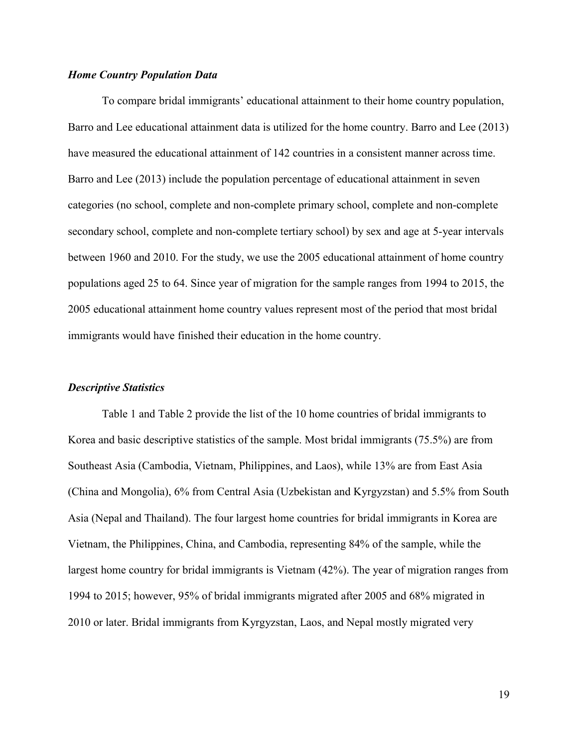#### *Home Country Population Data*

To compare bridal immigrants' educational attainment to their home country population, Barro and Lee educational attainment data is utilized for the home country. Barro and Lee (2013) have measured the educational attainment of 142 countries in a consistent manner across time. Barro and Lee (2013) include the population percentage of educational attainment in seven categories (no school, complete and non-complete primary school, complete and non-complete secondary school, complete and non-complete tertiary school) by sex and age at 5-year intervals between 1960 and 2010. For the study, we use the 2005 educational attainment of home country populations aged 25 to 64. Since year of migration for the sample ranges from 1994 to 2015, the 2005 educational attainment home country values represent most of the period that most bridal immigrants would have finished their education in the home country.

#### *Descriptive Statistics*

Table 1 and Table 2 provide the list of the 10 home countries of bridal immigrants to Korea and basic descriptive statistics of the sample. Most bridal immigrants (75.5%) are from Southeast Asia (Cambodia, Vietnam, Philippines, and Laos), while 13% are from East Asia (China and Mongolia), 6% from Central Asia (Uzbekistan and Kyrgyzstan) and 5.5% from South Asia (Nepal and Thailand). The four largest home countries for bridal immigrants in Korea are Vietnam, the Philippines, China, and Cambodia, representing 84% of the sample, while the largest home country for bridal immigrants is Vietnam (42%). The year of migration ranges from 1994 to 2015; however, 95% of bridal immigrants migrated after 2005 and 68% migrated in 2010 or later. Bridal immigrants from Kyrgyzstan, Laos, and Nepal mostly migrated very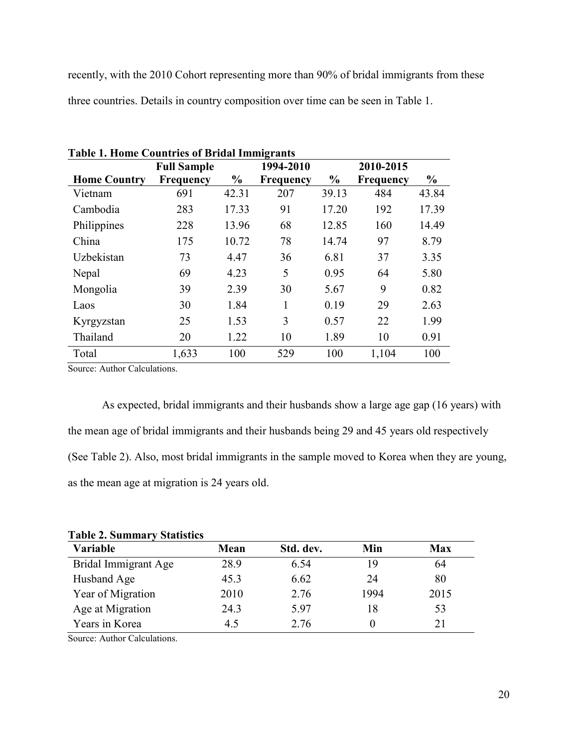recently, with the 2010 Cohort representing more than 90% of bridal immigrants from these three countries. Details in country composition over time can be seen in Table 1.

|                     | <b>Full Sample</b> |               | 1994-2010        |               | 2010-2015        |               |
|---------------------|--------------------|---------------|------------------|---------------|------------------|---------------|
| <b>Home Country</b> | <b>Frequency</b>   | $\frac{0}{0}$ | <b>Frequency</b> | $\frac{0}{0}$ | <b>Frequency</b> | $\frac{0}{0}$ |
| Vietnam             | 691                | 42.31         | 207              | 39.13         | 484              | 43.84         |
| Cambodia            | 283                | 17.33         | 91               | 17.20         | 192              | 17.39         |
| Philippines         | 228                | 13.96         | 68               | 12.85         | 160              | 14.49         |
| China               | 175                | 10.72         | 78               | 14.74         | 97               | 8.79          |
| Uzbekistan          | 73                 | 4.47          | 36               | 6.81          | 37               | 3.35          |
| Nepal               | 69                 | 4.23          | 5                | 0.95          | 64               | 5.80          |
| Mongolia            | 39                 | 2.39          | 30               | 5.67          | 9                | 0.82          |
| Laos                | 30                 | 1.84          | 1                | 0.19          | 29               | 2.63          |
| Kyrgyzstan          | 25                 | 1.53          | 3                | 0.57          | 22               | 1.99          |
| Thailand            | 20                 | 1.22          | 10               | 1.89          | 10               | 0.91          |
| Total               | 1,633              | 100           | 529              | 100           | 1,104            | 100           |

**Table 1. Home Countries of Bridal Immigrants** 

Source: Author Calculations.

As expected, bridal immigrants and their husbands show a large age gap (16 years) with the mean age of bridal immigrants and their husbands being 29 and 45 years old respectively (See Table 2). Also, most bridal immigrants in the sample moved to Korea when they are young, as the mean age at migration is 24 years old.

| <b>Table 2. Summary Statistics</b> |           |      |      |  |  |  |
|------------------------------------|-----------|------|------|--|--|--|
| Mean                               | Std. dev. | Min  | Max  |  |  |  |
| 28.9                               | 6.54      | 19   | 64   |  |  |  |
| 45.3                               | 6.62      | 24   | 80   |  |  |  |
| 2010                               | 2.76      | 1994 | 2015 |  |  |  |
| 24.3                               | 5.97      | 18   | 53   |  |  |  |
| 4.5                                | 2.76      |      | 21   |  |  |  |
|                                    |           |      |      |  |  |  |

**Table 2. Summary Statistics** 

Source: Author Calculations.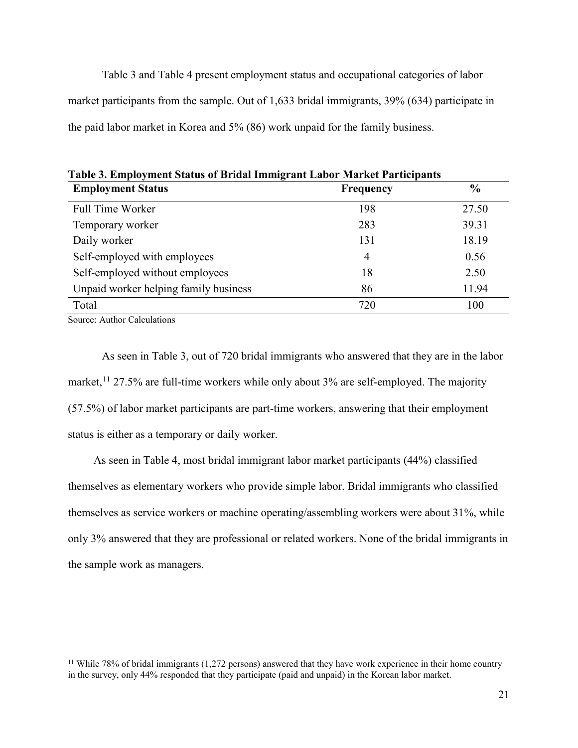Table 3 and Table 4 present employment status and occupational categories of labor market participants from the sample. Out of 1,633 bridal immigrants, 39% (634) participate in the paid labor market in Korea and 5% (86) work unpaid for the family business.

| Tabic 9. Employment Status of Driual Hillingrant Labor Market Farticipants<br><b>Employment Status</b> | <b>Frequency</b> | $\frac{6}{9}$ |
|--------------------------------------------------------------------------------------------------------|------------------|---------------|
| <b>Full Time Worker</b>                                                                                | 198              | 27.50         |
| Temporary worker                                                                                       | 283              | 39.31         |
| Daily worker                                                                                           | 131              | 18.19         |
| Self-employed with employees                                                                           | 4                | 0.56          |
| Self-employed without employees                                                                        | 18               | 2.50          |
| Unpaid worker helping family business                                                                  | 86               | 11.94         |
| Total                                                                                                  | 720              | 100           |

**Table 3. Employment Status of Bridal Immigrant Labor Market Participants**

Source: Author Calculations

As seen in Table 3, out of 720 bridal immigrants who answered that they are in the labor market,  $11$  27.5% are full-time workers while only about 3% are self-employed. The majority (57.5%) of labor market participants are part-time workers, answering that their employment status is either as a temporary or daily worker.

As seen in Table 4, most bridal immigrant labor market participants (44%) classified themselves as elementary workers who provide simple labor. Bridal immigrants who classified themselves as service workers or machine operating/assembling workers were about 31%, while only 3% answered that they are professional or related workers. None of the bridal immigrants in the sample work as managers.

<span id="page-21-0"></span><sup>&</sup>lt;sup>11</sup> While 78% of bridal immigrants (1,272 persons) answered that they have work experience in their home country in the survey, only 44% responded that they participate (paid and unpaid) in the Korean labor market.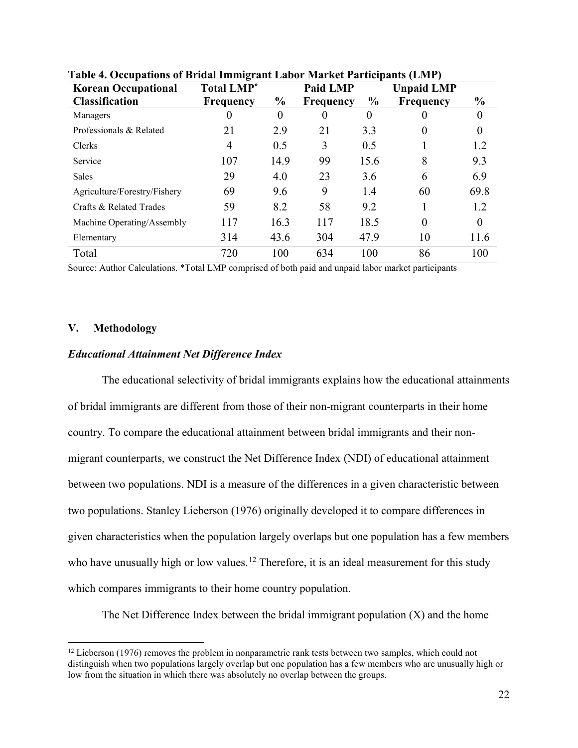| <b>Korean Occupational</b>   | <b>Total LMP</b> <sup>*</sup> |               | <b>Paid LMP</b> |      | <b>Unpaid LMP</b> |               |
|------------------------------|-------------------------------|---------------|-----------------|------|-------------------|---------------|
| <b>Classification</b>        | <b>Frequency</b>              | $\frac{6}{6}$ | Frequency       | $\%$ | <b>Frequency</b>  | $\frac{1}{2}$ |
| Managers                     | 0                             | $\theta$      | $\theta$        | 0    | 0                 | 0             |
| Professionals & Related      | 21                            | 2.9           | 21              | 3.3  | $\theta$          | $\theta$      |
| Clerks                       | 4                             | 0.5           | 3               | 0.5  |                   | 1.2           |
| Service                      | 107                           | 14.9          | 99              | 15.6 | 8                 | 9.3           |
| <b>Sales</b>                 | 29                            | 4.0           | 23              | 3.6  | 6                 | 6.9           |
| Agriculture/Forestry/Fishery | 69                            | 9.6           | 9               | 1.4  | 60                | 69.8          |
| Crafts & Related Trades      | 59                            | 8.2           | 58              | 9.2  |                   | 1.2           |
| Machine Operating/Assembly   | 117                           | 16.3          | 117             | 18.5 | $\theta$          | $\theta$      |
| Elementary                   | 314                           | 43.6          | 304             | 47.9 | 10                | 11.6          |
| Total                        | 720                           | 100           | 634             | 100  | 86                | 100           |

## **Table 4. Occupations of Bridal Immigrant Labor Market Participants (LMP)**

Source: Author Calculations. \*Total LMP comprised of both paid and unpaid labor market participants

# **V. Methodology**

# *Educational Attainment Net Difference Index*

The educational selectivity of bridal immigrants explains how the educational attainments of bridal immigrants are different from those of their non-migrant counterparts in their home country. To compare the educational attainment between bridal immigrants and their nonmigrant counterparts, we construct the Net Difference Index (NDI) of educational attainment between two populations. NDI is a measure of the differences in a given characteristic between two populations. Stanley Lieberson (1976) originally developed it to compare differences in given characteristics when the population largely overlaps but one population has a few members who have unusually high or low values.<sup>[12](#page-22-0)</sup> Therefore, it is an ideal measurement for this study which compares immigrants to their home country population.

The Net Difference Index between the bridal immigrant population  $(X)$  and the home

<span id="page-22-0"></span> $12$  Lieberson (1976) removes the problem in nonparametric rank tests between two samples, which could not distinguish when two populations largely overlap but one population has a few members who are unusually high or low from the situation in which there was absolutely no overlap between the groups.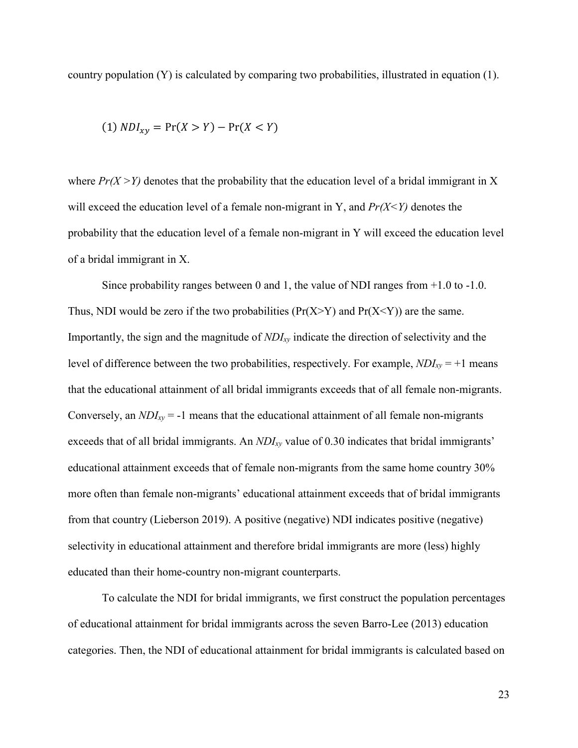country population (Y) is calculated by comparing two probabilities, illustrated in equation (1).

$$
(1) NDI_{xy} = \Pr(X > Y) - \Pr(X < Y)
$$

where  $Pr(X > Y)$  denotes that the probability that the education level of a bridal immigrant in X will exceed the education level of a female non-migrant in Y, and  $Pr(X \leq Y)$  denotes the probability that the education level of a female non-migrant in Y will exceed the education level of a bridal immigrant in X.

Since probability ranges between 0 and 1, the value of NDI ranges from  $+1.0$  to  $-1.0$ . Thus, NDI would be zero if the two probabilities ( $Pr(X > Y)$ ) and  $Pr(X \le Y)$ ) are the same. Importantly, the sign and the magnitude of *NDIxy* indicate the direction of selectivity and the level of difference between the two probabilities, respectively. For example, *NDIxy* = +1 means that the educational attainment of all bridal immigrants exceeds that of all female non-migrants. Conversely, an *NDIxy* = -1 means that the educational attainment of all female non-migrants exceeds that of all bridal immigrants. An *NDIxy* value of 0.30 indicates that bridal immigrants' educational attainment exceeds that of female non-migrants from the same home country 30% more often than female non-migrants' educational attainment exceeds that of bridal immigrants from that country (Lieberson 2019). A positive (negative) NDI indicates positive (negative) selectivity in educational attainment and therefore bridal immigrants are more (less) highly educated than their home-country non-migrant counterparts.

To calculate the NDI for bridal immigrants, we first construct the population percentages of educational attainment for bridal immigrants across the seven Barro-Lee (2013) education categories. Then, the NDI of educational attainment for bridal immigrants is calculated based on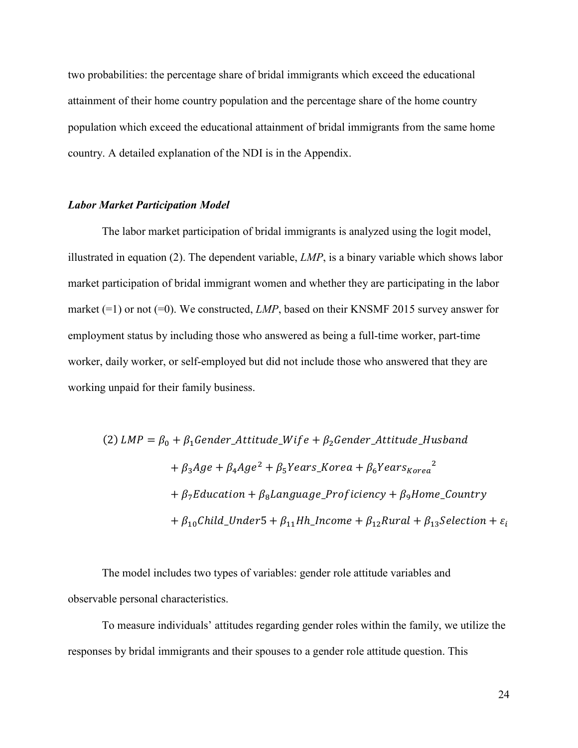two probabilities: the percentage share of bridal immigrants which exceed the educational attainment of their home country population and the percentage share of the home country population which exceed the educational attainment of bridal immigrants from the same home country. A detailed explanation of the NDI is in the Appendix.

#### *Labor Market Participation Model*

The labor market participation of bridal immigrants is analyzed using the logit model, illustrated in equation (2). The dependent variable, *LMP*, is a binary variable which shows labor market participation of bridal immigrant women and whether they are participating in the labor market (=1) or not (=0). We constructed, *LMP*, based on their KNSMF 2015 survey answer for employment status by including those who answered as being a full-time worker, part-time worker, daily worker, or self-employed but did not include those who answered that they are working unpaid for their family business.

(2) 
$$
LMP = \beta_0 + \beta_1 \text{Gender}\_
$$
Attitude\_Wife +  $\beta_2 \text{Gender}\_$ Attitude\_Husband  
+  $\beta_3 Age + \beta_4 Age^2 + \beta_5 Years\_$ Korea +  $\beta_6 Years_{Korea}^2$   
+  $\beta_7 Education + \beta_8 Language\_$ Projectency +  $\beta_9Home\_$ Country  
+  $\beta_{10}Child\_Under5 + \beta_{11}Hh\_$  Income +  $\beta_{12}Rural + \beta_{13} Selection + \varepsilon_i$ 

The model includes two types of variables: gender role attitude variables and observable personal characteristics.

To measure individuals' attitudes regarding gender roles within the family, we utilize the responses by bridal immigrants and their spouses to a gender role attitude question. This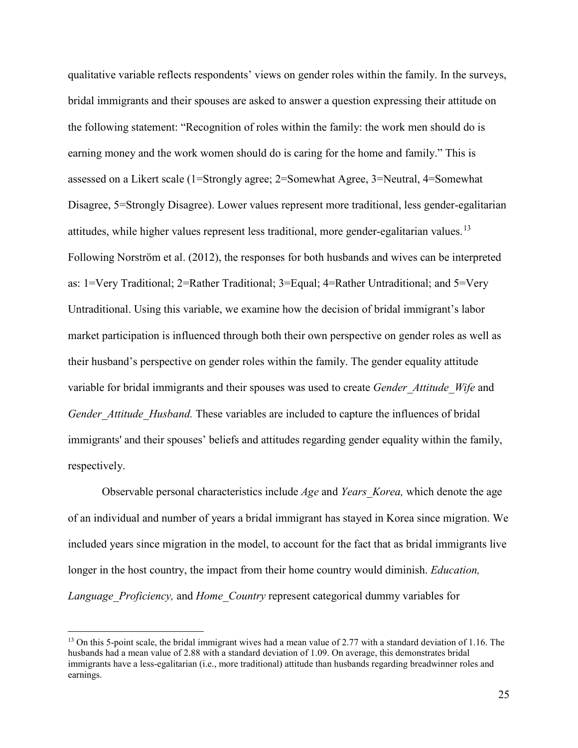qualitative variable reflects respondents' views on gender roles within the family. In the surveys, bridal immigrants and their spouses are asked to answer a question expressing their attitude on the following statement: "Recognition of roles within the family: the work men should do is earning money and the work women should do is caring for the home and family." This is assessed on a Likert scale (1=Strongly agree; 2=Somewhat Agree, 3=Neutral, 4=Somewhat Disagree, 5=Strongly Disagree). Lower values represent more traditional, less gender-egalitarian attitudes, while higher values represent less traditional, more gender-egalitarian values.<sup>[13](#page-25-0)</sup> Following Norström et al. (2012), the responses for both husbands and wives can be interpreted as: 1=Very Traditional; 2=Rather Traditional; 3=Equal; 4=Rather Untraditional; and 5=Very Untraditional. Using this variable, we examine how the decision of bridal immigrant's labor market participation is influenced through both their own perspective on gender roles as well as their husband's perspective on gender roles within the family. The gender equality attitude variable for bridal immigrants and their spouses was used to create *Gender\_Attitude*\_*Wife* and *Gender\_Attitude*\_*Husband.* These variables are included to capture the influences of bridal immigrants' and their spouses' beliefs and attitudes regarding gender equality within the family, respectively.

Observable personal characteristics include *Age* and *Years\_Korea,* which denote the age of an individual and number of years a bridal immigrant has stayed in Korea since migration. We included years since migration in the model, to account for the fact that as bridal immigrants live longer in the host country, the impact from their home country would diminish. *Education, Language\_Proficiency,* and *Home\_Country* represent categorical dummy variables for

<span id="page-25-0"></span><sup>&</sup>lt;sup>13</sup> On this 5-point scale, the bridal immigrant wives had a mean value of 2.77 with a standard deviation of 1.16. The husbands had a mean value of 2.88 with a standard deviation of 1.09. On average, this demonstrates bridal immigrants have a less-egalitarian (i.e., more traditional) attitude than husbands regarding breadwinner roles and earnings.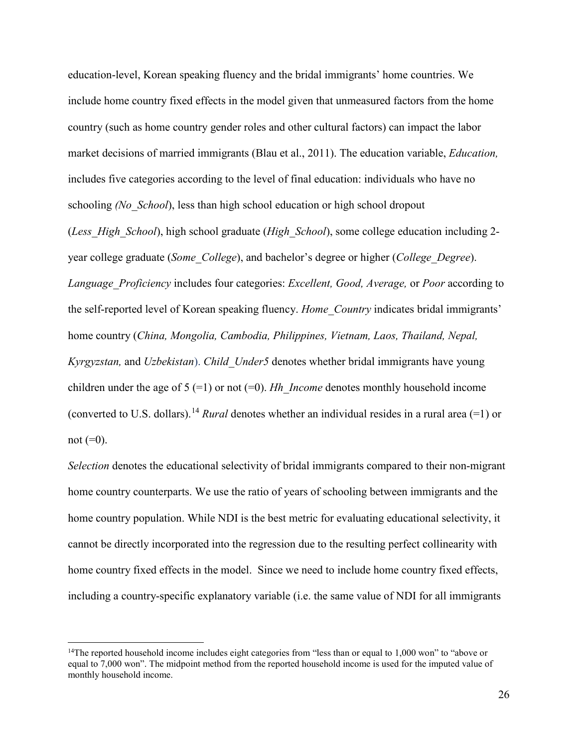education-level, Korean speaking fluency and the bridal immigrants' home countries. We include home country fixed effects in the model given that unmeasured factors from the home country (such as home country gender roles and other cultural factors) can impact the labor market decisions of married immigrants (Blau et al., 2011). The education variable, *Education,*  includes five categories according to the level of final education: individuals who have no schooling *(No\_School*), less than high school education or high school dropout (*Less\_High\_School*), high school graduate (*High\_School*), some college education including 2-

year college graduate (*Some\_College*), and bachelor's degree or higher (*College\_Degree*). *Language\_Proficiency* includes four categories: *Excellent, Good, Average,* or *Poor* according to the self-reported level of Korean speaking fluency. *Home\_Country* indicates bridal immigrants' home country (*China, Mongolia, Cambodia, Philippines, Vietnam, Laos, Thailand, Nepal, Kyrgyzstan,* and *Uzbekistan*). *Child\_Under5* denotes whether bridal immigrants have young children under the age of  $5 (=1)$  or not  $(=0)$ . *Hh Income* denotes monthly household income (converted to U.S. dollars). [14](#page-26-0) *Rural* denotes whether an individual resides in a rural area (=1) or not  $(=0)$ .

*Selection* denotes the educational selectivity of bridal immigrants compared to their non-migrant home country counterparts. We use the ratio of years of schooling between immigrants and the home country population. While NDI is the best metric for evaluating educational selectivity, it cannot be directly incorporated into the regression due to the resulting perfect collinearity with home country fixed effects in the model. Since we need to include home country fixed effects, including a country-specific explanatory variable (i.e. the same value of NDI for all immigrants

<span id="page-26-0"></span><sup>&</sup>lt;sup>14</sup>The reported household income includes eight categories from "less than or equal to 1,000 won" to "above or equal to 7,000 won". The midpoint method from the reported household income is used for the imputed value of monthly household income.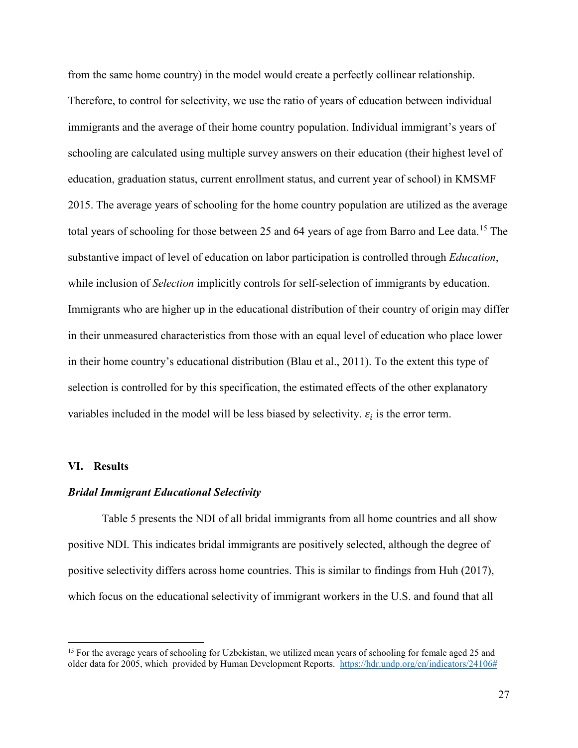from the same home country) in the model would create a perfectly collinear relationship. Therefore, to control for selectivity, we use the ratio of years of education between individual immigrants and the average of their home country population. Individual immigrant's years of schooling are calculated using multiple survey answers on their education (their highest level of education, graduation status, current enrollment status, and current year of school) in KMSMF 2015. The average years of schooling for the home country population are utilized as the average total years of schooling for those between 25 and 64 years of age from Barro and Lee data.<sup>[15](#page-27-0)</sup> The substantive impact of level of education on labor participation is controlled through *Education*, while inclusion of *Selection* implicitly controls for self-selection of immigrants by education. Immigrants who are higher up in the educational distribution of their country of origin may differ in their unmeasured characteristics from those with an equal level of education who place lower in their home country's educational distribution (Blau et al., 2011). To the extent this type of selection is controlled for by this specification, the estimated effects of the other explanatory variables included in the model will be less biased by selectivity.  $\varepsilon_i$  is the error term.

#### **VI. Results**

 $\overline{a}$ 

#### *Bridal Immigrant Educational Selectivity*

Table 5 presents the NDI of all bridal immigrants from all home countries and all show positive NDI. This indicates bridal immigrants are positively selected, although the degree of positive selectivity differs across home countries. This is similar to findings from Huh (2017), which focus on the educational selectivity of immigrant workers in the U.S. and found that all

<span id="page-27-0"></span><sup>&</sup>lt;sup>15</sup> For the average years of schooling for Uzbekistan, we utilized mean years of schooling for female aged 25 and older data for 2005, which provided by Human Development Reports. [https://hdr.undp.org/en/indicators/24106#](https://hdr.undp.org/en/indicators/24106)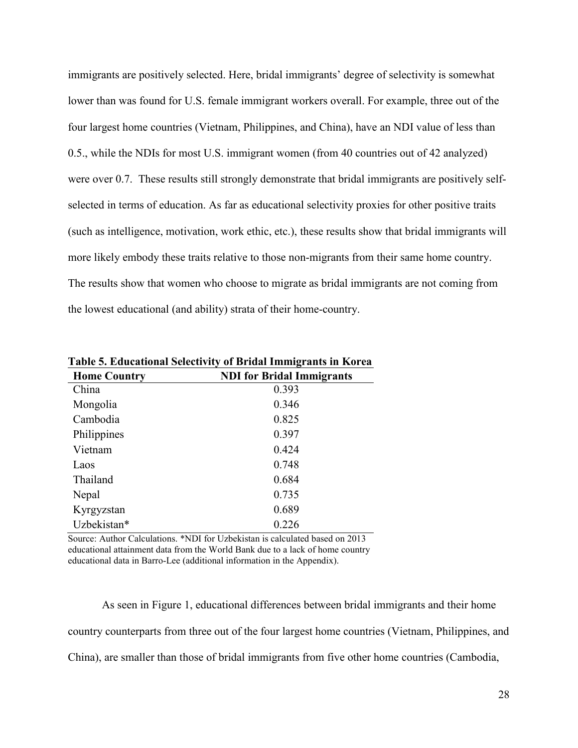immigrants are positively selected. Here, bridal immigrants' degree of selectivity is somewhat lower than was found for U.S. female immigrant workers overall. For example, three out of the four largest home countries (Vietnam, Philippines, and China), have an NDI value of less than 0.5., while the NDIs for most U.S. immigrant women (from 40 countries out of 42 analyzed) were over 0.7. These results still strongly demonstrate that bridal immigrants are positively selfselected in terms of education. As far as educational selectivity proxies for other positive traits (such as intelligence, motivation, work ethic, etc.), these results show that bridal immigrants will more likely embody these traits relative to those non-migrants from their same home country. The results show that women who choose to migrate as bridal immigrants are not coming from the lowest educational (and ability) strata of their home-country.

| <b>Home Country</b> | <b>NDI</b> for Bridal Immigrants |  |  |  |  |
|---------------------|----------------------------------|--|--|--|--|
| China               | 0.393                            |  |  |  |  |
| Mongolia            | 0.346                            |  |  |  |  |
| Cambodia            | 0.825                            |  |  |  |  |
| Philippines         | 0.397                            |  |  |  |  |
| Vietnam             | 0.424                            |  |  |  |  |
| Laos                | 0.748                            |  |  |  |  |
| Thailand            | 0.684                            |  |  |  |  |
| Nepal               | 0.735                            |  |  |  |  |
| Kyrgyzstan          | 0.689                            |  |  |  |  |
| Uzbekistan*         | 0.226                            |  |  |  |  |

**Table 5. Educational Selectivity of Bridal Immigrants in Korea** 

Source: Author Calculations. \*NDI for Uzbekistan is calculated based on 2013 educational attainment data from the World Bank due to a lack of home country educational data in Barro-Lee (additional information in the Appendix).

As seen in Figure 1, educational differences between bridal immigrants and their home country counterparts from three out of the four largest home countries (Vietnam, Philippines, and China), are smaller than those of bridal immigrants from five other home countries (Cambodia,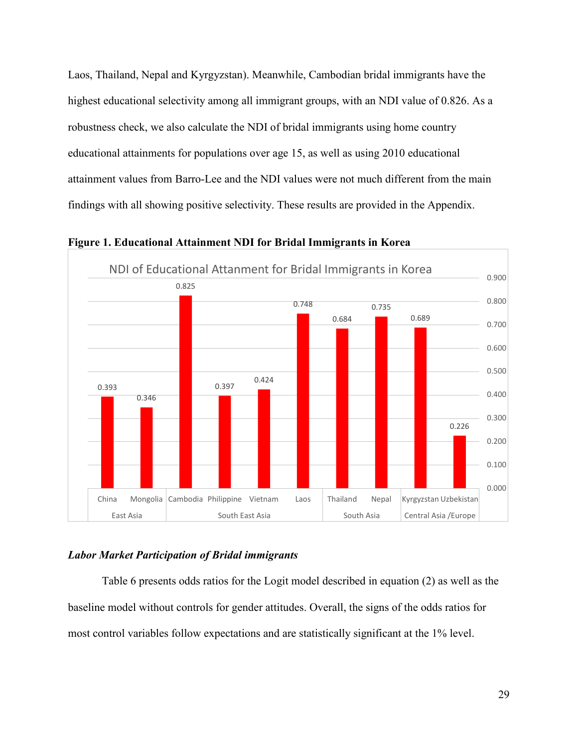Laos, Thailand, Nepal and Kyrgyzstan). Meanwhile, Cambodian bridal immigrants have the highest educational selectivity among all immigrant groups, with an NDI value of 0.826. As a robustness check, we also calculate the NDI of bridal immigrants using home country educational attainments for populations over age 15, as well as using 2010 educational attainment values from Barro-Lee and the NDI values were not much different from the main findings with all showing positive selectivity. These results are provided in the Appendix.



**Figure 1. Educational Attainment NDI for Bridal Immigrants in Korea**

## *Labor Market Participation of Bridal immigrants*

Table 6 presents odds ratios for the Logit model described in equation (2) as well as the baseline model without controls for gender attitudes. Overall, the signs of the odds ratios for most control variables follow expectations and are statistically significant at the 1% level.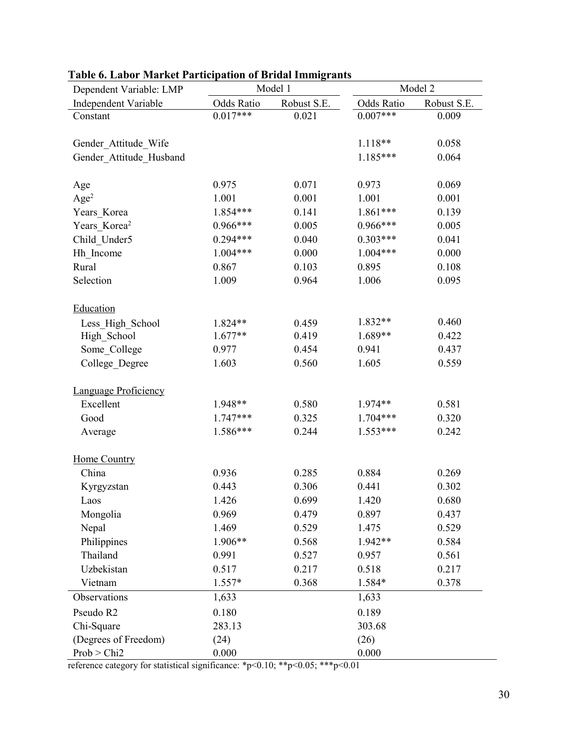| Dependent Variable: LMP  | Model 1    |             | Model 2    |             |  |
|--------------------------|------------|-------------|------------|-------------|--|
| Independent Variable     | Odds Ratio | Robust S.E. | Odds Ratio | Robust S.E. |  |
| Constant                 | $0.017***$ | 0.021       | $0.007***$ | 0.009       |  |
|                          |            |             |            |             |  |
| Gender Attitude Wife     |            |             | 1.118**    | 0.058       |  |
| Gender Attitude Husband  |            |             | $1.185***$ | 0.064       |  |
|                          |            |             |            |             |  |
| Age                      | 0.975      | 0.071       | 0.973      | 0.069       |  |
| Age <sup>2</sup>         | 1.001      | 0.001       | 1.001      | 0.001       |  |
| Years_Korea              | 1.854***   | 0.141       | 1.861***   | 0.139       |  |
| Years Korea <sup>2</sup> | $0.966***$ | 0.005       | $0.966***$ | 0.005       |  |
| Child Under5             | $0.294***$ | 0.040       | $0.303***$ | 0.041       |  |
| Hh Income                | $1.004***$ | 0.000       | $1.004***$ | 0.000       |  |
| Rural                    | 0.867      | 0.103       | 0.895      | 0.108       |  |
| Selection                | 1.009      | 0.964       | 1.006      | 0.095       |  |
|                          |            |             |            |             |  |
| Education                |            |             |            |             |  |
| Less High School         | 1.824**    | 0.459       | 1.832**    | 0.460       |  |
| High School              | $1.677**$  | 0.419       | 1.689**    | 0.422       |  |
| Some College             | 0.977      | 0.454       | 0.941      | 0.437       |  |
| College Degree           | 1.603      | 0.560       | 1.605      | 0.559       |  |
|                          |            |             |            |             |  |
| Language Proficiency     |            |             |            |             |  |
| Excellent                | 1.948**    | 0.580       | 1.974**    | 0.581       |  |
| Good                     | $1.747***$ | 0.325       | $1.704***$ | 0.320       |  |
| Average                  | 1.586***   | 0.244       | $1.553***$ | 0.242       |  |
|                          |            |             |            |             |  |
| <b>Home Country</b>      |            |             |            |             |  |
| China                    | 0.936      | 0.285       | 0.884      | 0.269       |  |
| Kyrgyzstan               | 0.443      | 0.306       | 0.441      | 0.302       |  |
| Laos                     | 1.426      | 0.699       | 1.420      | 0.680       |  |
| Mongolia                 | 0.969      | 0.479       | 0.897      | 0.437       |  |
| Nepal                    | 1.469      | 0.529       | 1.475      | 0.529       |  |
| Philippines              | 1.906**    | 0.568       | 1.942**    | 0.584       |  |
| Thailand                 | 0.991      | 0.527       | 0.957      | 0.561       |  |
| Uzbekistan               | 0.517      | 0.217       | 0.518      | 0.217       |  |
| Vietnam                  | $1.557*$   | 0.368       | 1.584*     | 0.378       |  |
| Observations             | 1,633      |             | 1,633      |             |  |
| Pseudo R2                | 0.180      |             | 0.189      |             |  |
| Chi-Square               | 283.13     |             | 303.68     |             |  |
| (Degrees of Freedom)     | (24)       |             | (26)       |             |  |
| Prob > Chi2              | 0.000      |             | 0.000      |             |  |

# **Table 6. Labor Market Participation of Bridal Immigrants**

reference category for statistical significance: \*p<0.10; \*\*p<0.05; \*\*\*p<0.01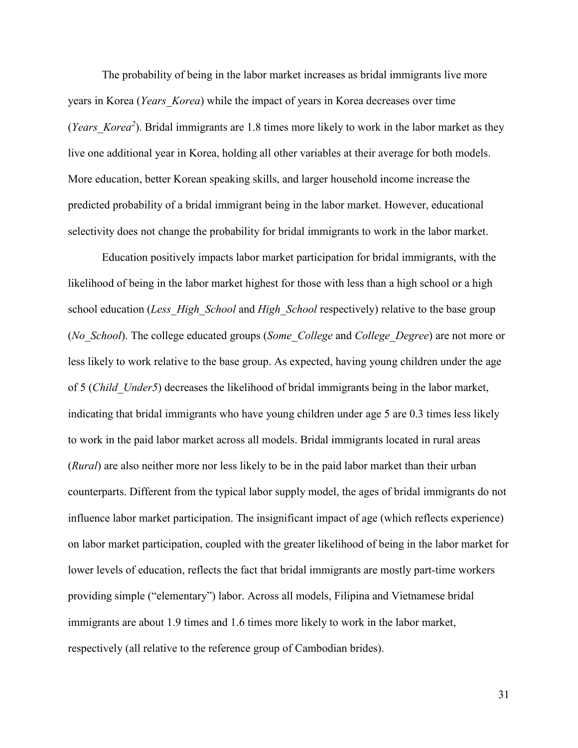The probability of being in the labor market increases as bridal immigrants live more years in Korea (*Years\_Korea*) while the impact of years in Korea decreases over time (*Years\_Korea2* ). Bridal immigrants are 1.8 times more likely to work in the labor market as they live one additional year in Korea, holding all other variables at their average for both models. More education, better Korean speaking skills, and larger household income increase the predicted probability of a bridal immigrant being in the labor market. However, educational selectivity does not change the probability for bridal immigrants to work in the labor market.

Education positively impacts labor market participation for bridal immigrants, with the likelihood of being in the labor market highest for those with less than a high school or a high school education (*Less\_High\_School* and *High\_School* respectively) relative to the base group (*No\_School*). The college educated groups (*Some\_College* and *College\_Degree*) are not more or less likely to work relative to the base group. As expected, having young children under the age of 5 (*Child\_Under5*) decreases the likelihood of bridal immigrants being in the labor market, indicating that bridal immigrants who have young children under age 5 are 0.3 times less likely to work in the paid labor market across all models. Bridal immigrants located in rural areas (*Rural*) are also neither more nor less likely to be in the paid labor market than their urban counterparts. Different from the typical labor supply model, the ages of bridal immigrants do not influence labor market participation. The insignificant impact of age (which reflects experience) on labor market participation, coupled with the greater likelihood of being in the labor market for lower levels of education, reflects the fact that bridal immigrants are mostly part-time workers providing simple ("elementary") labor. Across all models, Filipina and Vietnamese bridal immigrants are about 1.9 times and 1.6 times more likely to work in the labor market, respectively (all relative to the reference group of Cambodian brides).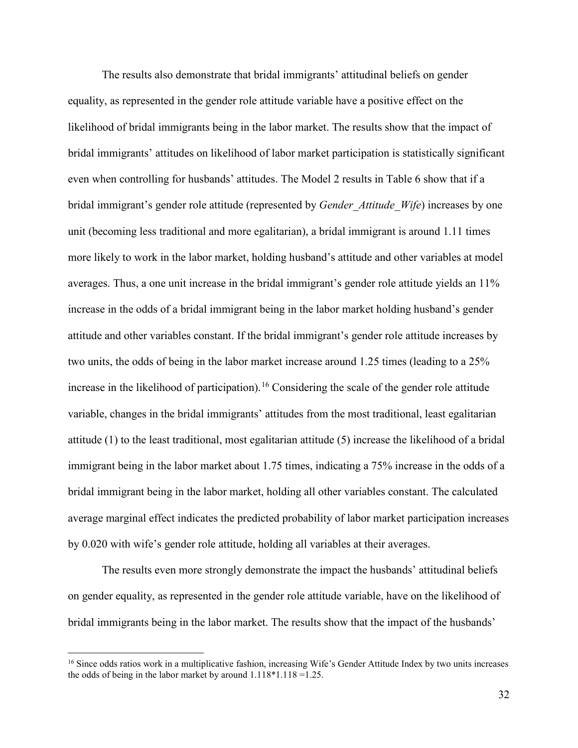The results also demonstrate that bridal immigrants' attitudinal beliefs on gender equality, as represented in the gender role attitude variable have a positive effect on the likelihood of bridal immigrants being in the labor market. The results show that the impact of bridal immigrants' attitudes on likelihood of labor market participation is statistically significant even when controlling for husbands' attitudes. The Model 2 results in Table 6 show that if a bridal immigrant's gender role attitude (represented by *Gender\_Attitude\_Wife*) increases by one unit (becoming less traditional and more egalitarian), a bridal immigrant is around 1.11 times more likely to work in the labor market, holding husband's attitude and other variables at model averages. Thus, a one unit increase in the bridal immigrant's gender role attitude yields an 11% increase in the odds of a bridal immigrant being in the labor market holding husband's gender attitude and other variables constant. If the bridal immigrant's gender role attitude increases by two units, the odds of being in the labor market increase around 1.25 times (leading to a 25% increase in the likelihood of participation). [16](#page-32-0) Considering the scale of the gender role attitude variable, changes in the bridal immigrants' attitudes from the most traditional, least egalitarian attitude (1) to the least traditional, most egalitarian attitude (5) increase the likelihood of a bridal immigrant being in the labor market about 1.75 times, indicating a 75% increase in the odds of a bridal immigrant being in the labor market, holding all other variables constant. The calculated average marginal effect indicates the predicted probability of labor market participation increases by 0.020 with wife's gender role attitude, holding all variables at their averages.

The results even more strongly demonstrate the impact the husbands' attitudinal beliefs on gender equality, as represented in the gender role attitude variable, have on the likelihood of bridal immigrants being in the labor market. The results show that the impact of the husbands'

<span id="page-32-0"></span><sup>&</sup>lt;sup>16</sup> Since odds ratios work in a multiplicative fashion, increasing Wife's Gender Attitude Index by two units increases the odds of being in the labor market by around 1.118\*1.118 =1.25.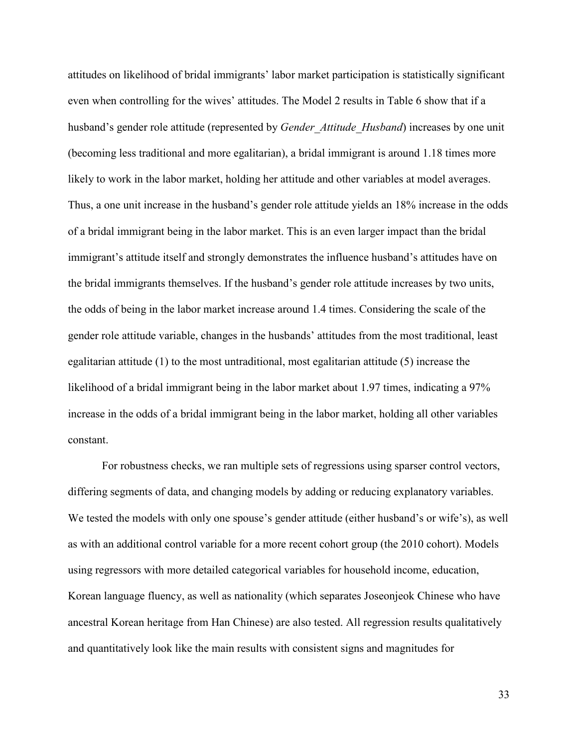attitudes on likelihood of bridal immigrants' labor market participation is statistically significant even when controlling for the wives' attitudes. The Model 2 results in Table 6 show that if a husband's gender role attitude (represented by *Gender\_Attitude\_Husband*) increases by one unit (becoming less traditional and more egalitarian), a bridal immigrant is around 1.18 times more likely to work in the labor market, holding her attitude and other variables at model averages. Thus, a one unit increase in the husband's gender role attitude yields an 18% increase in the odds of a bridal immigrant being in the labor market. This is an even larger impact than the bridal immigrant's attitude itself and strongly demonstrates the influence husband's attitudes have on the bridal immigrants themselves. If the husband's gender role attitude increases by two units, the odds of being in the labor market increase around 1.4 times. Considering the scale of the gender role attitude variable, changes in the husbands' attitudes from the most traditional, least egalitarian attitude (1) to the most untraditional, most egalitarian attitude (5) increase the likelihood of a bridal immigrant being in the labor market about 1.97 times, indicating a 97% increase in the odds of a bridal immigrant being in the labor market, holding all other variables constant.

For robustness checks, we ran multiple sets of regressions using sparser control vectors, differing segments of data, and changing models by adding or reducing explanatory variables. We tested the models with only one spouse's gender attitude (either husband's or wife's), as well as with an additional control variable for a more recent cohort group (the 2010 cohort). Models using regressors with more detailed categorical variables for household income, education, Korean language fluency, as well as nationality (which separates Joseonjeok Chinese who have ancestral Korean heritage from Han Chinese) are also tested. All regression results qualitatively and quantitatively look like the main results with consistent signs and magnitudes for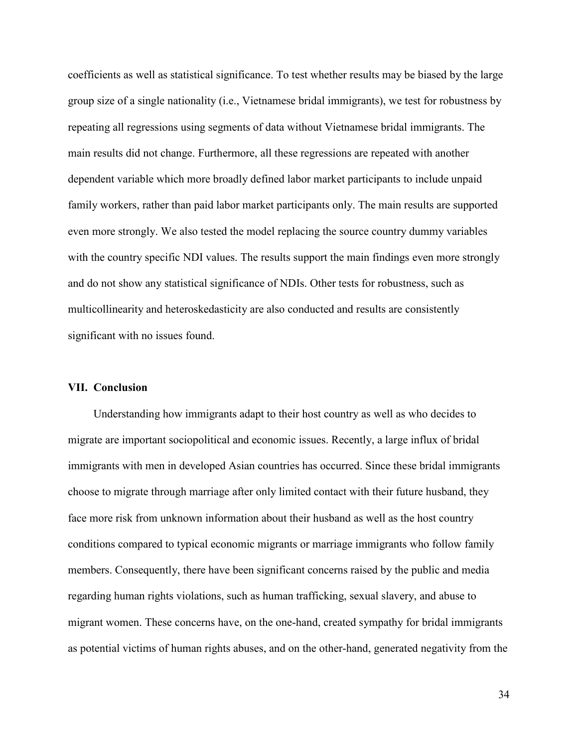coefficients as well as statistical significance. To test whether results may be biased by the large group size of a single nationality (i.e., Vietnamese bridal immigrants), we test for robustness by repeating all regressions using segments of data without Vietnamese bridal immigrants. The main results did not change. Furthermore, all these regressions are repeated with another dependent variable which more broadly defined labor market participants to include unpaid family workers, rather than paid labor market participants only. The main results are supported even more strongly. We also tested the model replacing the source country dummy variables with the country specific NDI values. The results support the main findings even more strongly and do not show any statistical significance of NDIs. Other tests for robustness, such as multicollinearity and heteroskedasticity are also conducted and results are consistently significant with no issues found.

#### **VII. Conclusion**

Understanding how immigrants adapt to their host country as well as who decides to migrate are important sociopolitical and economic issues. Recently, a large influx of bridal immigrants with men in developed Asian countries has occurred. Since these bridal immigrants choose to migrate through marriage after only limited contact with their future husband, they face more risk from unknown information about their husband as well as the host country conditions compared to typical economic migrants or marriage immigrants who follow family members. Consequently, there have been significant concerns raised by the public and media regarding human rights violations, such as human trafficking, sexual slavery, and abuse to migrant women. These concerns have, on the one-hand, created sympathy for bridal immigrants as potential victims of human rights abuses, and on the other-hand, generated negativity from the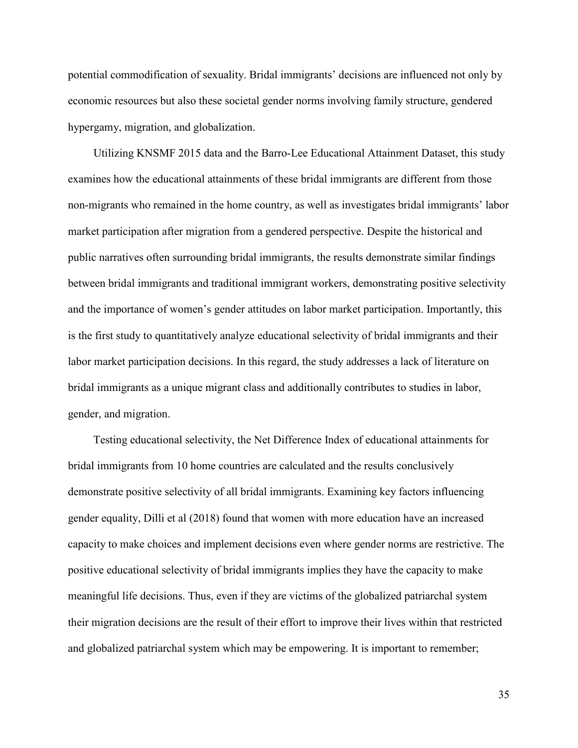potential commodification of sexuality. Bridal immigrants' decisions are influenced not only by economic resources but also these societal gender norms involving family structure, gendered hypergamy, migration, and globalization.

Utilizing KNSMF 2015 data and the Barro-Lee Educational Attainment Dataset, this study examines how the educational attainments of these bridal immigrants are different from those non-migrants who remained in the home country, as well as investigates bridal immigrants' labor market participation after migration from a gendered perspective. Despite the historical and public narratives often surrounding bridal immigrants, the results demonstrate similar findings between bridal immigrants and traditional immigrant workers, demonstrating positive selectivity and the importance of women's gender attitudes on labor market participation. Importantly, this is the first study to quantitatively analyze educational selectivity of bridal immigrants and their labor market participation decisions. In this regard, the study addresses a lack of literature on bridal immigrants as a unique migrant class and additionally contributes to studies in labor, gender, and migration.

Testing educational selectivity, the Net Difference Index of educational attainments for bridal immigrants from 10 home countries are calculated and the results conclusively demonstrate positive selectivity of all bridal immigrants. Examining key factors influencing gender equality, Dilli et al (2018) found that women with more education have an increased capacity to make choices and implement decisions even where gender norms are restrictive. The positive educational selectivity of bridal immigrants implies they have the capacity to make meaningful life decisions. Thus, even if they are victims of the globalized patriarchal system their migration decisions are the result of their effort to improve their lives within that restricted and globalized patriarchal system which may be empowering. It is important to remember;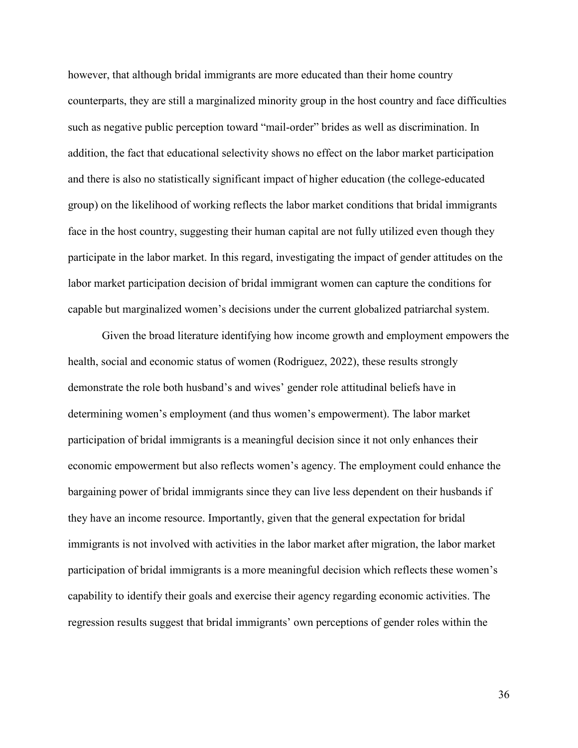however, that although bridal immigrants are more educated than their home country counterparts, they are still a marginalized minority group in the host country and face difficulties such as negative public perception toward "mail-order" brides as well as discrimination. In addition, the fact that educational selectivity shows no effect on the labor market participation and there is also no statistically significant impact of higher education (the college-educated group) on the likelihood of working reflects the labor market conditions that bridal immigrants face in the host country, suggesting their human capital are not fully utilized even though they participate in the labor market. In this regard, investigating the impact of gender attitudes on the labor market participation decision of bridal immigrant women can capture the conditions for capable but marginalized women's decisions under the current globalized patriarchal system.

Given the broad literature identifying how income growth and employment empowers the health, social and economic status of women (Rodriguez, 2022), these results strongly demonstrate the role both husband's and wives' gender role attitudinal beliefs have in determining women's employment (and thus women's empowerment). The labor market participation of bridal immigrants is a meaningful decision since it not only enhances their economic empowerment but also reflects women's agency. The employment could enhance the bargaining power of bridal immigrants since they can live less dependent on their husbands if they have an income resource. Importantly, given that the general expectation for bridal immigrants is not involved with activities in the labor market after migration, the labor market participation of bridal immigrants is a more meaningful decision which reflects these women's capability to identify their goals and exercise their agency regarding economic activities. The regression results suggest that bridal immigrants' own perceptions of gender roles within the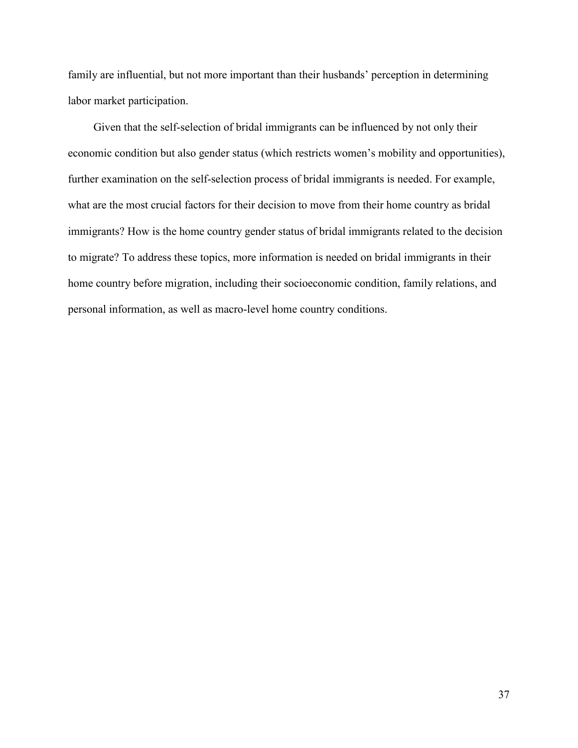family are influential, but not more important than their husbands' perception in determining labor market participation.

Given that the self-selection of bridal immigrants can be influenced by not only their economic condition but also gender status (which restricts women's mobility and opportunities), further examination on the self-selection process of bridal immigrants is needed. For example, what are the most crucial factors for their decision to move from their home country as bridal immigrants? How is the home country gender status of bridal immigrants related to the decision to migrate? To address these topics, more information is needed on bridal immigrants in their home country before migration, including their socioeconomic condition, family relations, and personal information, as well as macro-level home country conditions.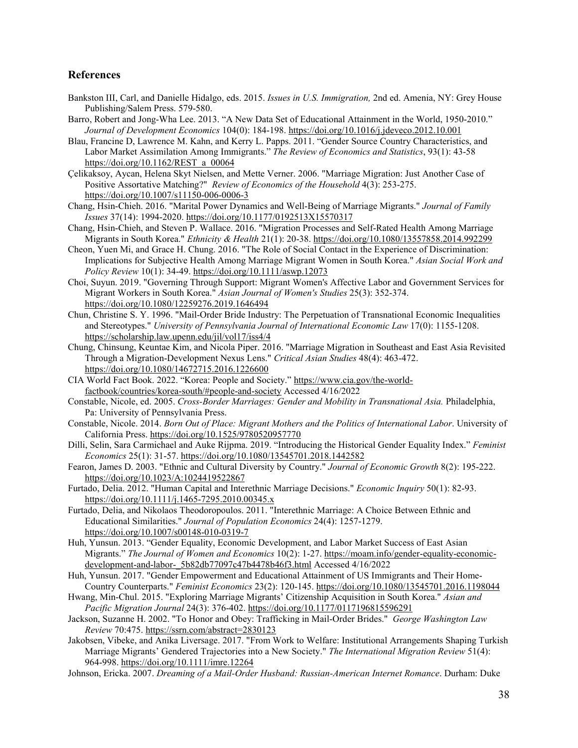#### **References**

- Bankston III, Carl, and Danielle Hidalgo, eds. 2015. *Issues in U.S. Immigration,* 2nd ed. Amenia, NY: Grey House Publishing/Salem Press. 579-580.
- Barro, Robert and Jong-Wha Lee. 2013. "A New Data Set of Educational Attainment in the World, 1950-2010." *Journal of Development Economics* 104(0): 184-198. <https://doi.org/10.1016/j.jdeveco.2012.10.001>
- Blau, Francine D, Lawrence M. Kahn, and Kerry L. Papps. 2011. "Gender Source Country Characteristics, and Labor Market Assimilation Among Immigrants." *The Review of Economics and Statistics*, 93(1): 43-58 https://doi.org/10.1162/REST\_a\_00064
- Çelikaksoy, Aycan, Helena Skyt Nielsen, and Mette Verner. 2006. "Marriage Migration: Just Another Case of Positive Assortative Matching?" *Review of Economics of the Household* 4(3): 253-275. <https://doi.org/10.1007/s11150-006-0006-3>
- Chang, Hsin-Chieh. 2016. "Marital Power Dynamics and Well-Being of Marriage Migrants." *Journal of Family Issues* 37(14): 1994-2020.<https://doi.org/10.1177/0192513X15570317>
- Chang, Hsin-Chieh, and Steven P. Wallace. 2016. "Migration Processes and Self-Rated Health Among Marriage Migrants in South Korea." *Ethnicity & Health* 21(1): 20-38.<https://doi.org/10.1080/13557858.2014.992299>
- Cheon, Yuen Mi, and Grace H. Chung. 2016. "The Role of Social Contact in the Experience of Discrimination: Implications for Subjective Health Among Marriage Migrant Women in South Korea." *Asian Social Work and Policy Review* 10(1): 34-49[. https://doi.org/10.1111/aswp.12073](https://doi.org/10.1111/aswp.12073)
- Choi, Suyun. 2019. "Governing Through Support: Migrant Women's Affective Labor and Government Services for Migrant Workers in South Korea." *Asian Journal of Women's Studies* 25(3): 352-374. <https://doi.org/10.1080/12259276.2019.1646494>
- Chun, Christine S. Y. 1996. "Mail-Order Bride Industry: The Perpetuation of Transnational Economic Inequalities and Stereotypes." *University of Pennsylvania Journal of International Economic Law* 17(0): 1155-1208. <https://scholarship.law.upenn.edu/jil/vol17/iss4/4>
- Chung, Chinsung, Keuntae Kim, and Nicola Piper. 2016. "Marriage Migration in Southeast and East Asia Revisited Through a Migration-Development Nexus Lens." *Critical Asian Studies* 48(4): 463-472. <https://doi.org/10.1080/14672715.2016.1226600>
- CIA World Fact Book. 2022. "Korea: People and Society." [https://www.cia.gov/the-world](https://www.cia.gov/the-world-factbook/countries/korea-south/#people-and-society)[factbook/countries/korea-south/#people-and-society](https://www.cia.gov/the-world-factbook/countries/korea-south/#people-and-society) Accessed 4/16/2022
- Constable, Nicole, ed. 2005. *Cross-Border Marriages: Gender and Mobility in Transnational Asia.* Philadelphia, Pa: University of Pennsylvania Press.
- Constable, Nicole. 2014. *Born Out of Place: Migrant Mothers and the Politics of International Labor*. University of California Press.<https://doi.org/10.1525/9780520957770>
- Dilli, Selin, Sara Carmichael and Auke Rijpma. 2019. "Introducing the Historical Gender Equality Index." *Feminist Economics* 25(1): 31-57[. https://doi.org/10.1080/13545701.2018.1442582](https://doi.org/10.1080/13545701.2018.1442582)
- Fearon, James D. 2003. "Ethnic and Cultural Diversity by Country." *Journal of Economic Growth* 8(2): 195-222. <https://doi.org/10.1023/A:1024419522867>
- Furtado, Delia. 2012. "Human Capital and Interethnic Marriage Decisions." *Economic Inquiry* 50(1): 82-93. <https://doi.org/10.1111/j.1465-7295.2010.00345.x>
- Furtado, Delia, and Nikolaos Theodoropoulos. 2011. "Interethnic Marriage: A Choice Between Ethnic and Educational Similarities." *Journal of Population Economics* 24(4): 1257-1279. <https://doi.org/10.1007/s00148-010-0319-7>
- Huh, Yunsun. 2013. "Gender Equality, Economic Development, and Labor Market Success of East Asian Migrants." *The Journal of Women and Economics* 10(2): 1-27. [https://moam.info/gender-equality-economic](https://moam.info/gender-equality-economic-development-and-labor-_5b82db77097c47b4478b46f3.html)[development-and-labor-\\_5b82db77097c47b4478b46f3.html](https://moam.info/gender-equality-economic-development-and-labor-_5b82db77097c47b4478b46f3.html) Accessed 4/16/2022
- Huh, Yunsun. 2017. "Gender Empowerment and Educational Attainment of US Immigrants and Their Home-Country Counterparts." *Feminist Economics* 23(2): 120-145.<https://doi.org/10.1080/13545701.2016.1198044>
- Hwang, Min-Chul. 2015. "Exploring Marriage Migrants' Citizenship Acquisition in South Korea." *Asian and Pacific Migration Journal* 24(3): 376-402.<https://doi.org/10.1177/0117196815596291>
- Jackson, Suzanne H. 2002. "To Honor and Obey: Trafficking in Mail-Order Brides." *George Washington Law Review* 70:475.<https://ssrn.com/abstract=2830123>
- Jakobsen, Vibeke, and Anika Liversage. 2017. "From Work to Welfare: Institutional Arrangements Shaping Turkish Marriage Migrants' Gendered Trajectories into a New Society." *The International Migration Review* 51(4): 964-998.<https://doi.org/10.1111/imre.12264>
- Johnson, Ericka. 2007. *Dreaming of a Mail-Order Husband: Russian-American Internet Romance*. Durham: Duke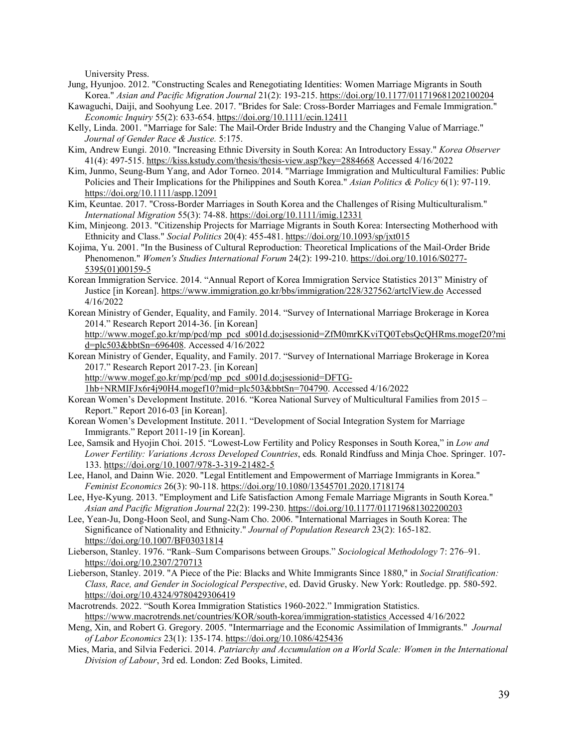University Press.

- Jung, Hyunjoo. 2012. "Constructing Scales and Renegotiating Identities: Women Marriage Migrants in South Korea." *Asian and Pacific Migration Journal* 21(2): 193-215.<https://doi.org/10.1177/011719681202100204>
- Kawaguchi, Daiji, and Soohyung Lee. 2017. "Brides for Sale: Cross‐Border Marriages and Female Immigration." *Economic Inquiry* 55(2): 633-654[. https://doi.org/10.1111/ecin.12411](https://doi.org/10.1111/ecin.12411)
- Kelly, Linda. 2001. "Marriage for Sale: The Mail-Order Bride Industry and the Changing Value of Marriage." *Journal of Gender Race & Justice.* 5:175.
- Kim, Andrew Eungi. 2010. "Increasing Ethnic Diversity in South Korea: An Introductory Essay." *Korea Observer* 41(4): 497-515.<https://kiss.kstudy.com/thesis/thesis-view.asp?key=2884668> Accessed 4/16/2022
- Kim, Junmo, Seung-Bum Yang, and Ador Torneo. 2014. "Marriage Immigration and Multicultural Families: Public Policies and Their Implications for the Philippines and South Korea." *Asian Politics & Policy* 6(1): 97-119. <https://doi.org/10.1111/aspp.12091>
- Kim, Keuntae. 2017. "Cross-Border Marriages in South Korea and the Challenges of Rising Multiculturalism." *International Migration* 55(3): 74-88[. https://doi.org/10.1111/imig.12331](https://doi.org/10.1111/imig.12331)
- Kim, Minjeong. 2013. "Citizenship Projects for Marriage Migrants in South Korea: Intersecting Motherhood with Ethnicity and Class." *Social Politics* 20(4): 455-481[. https://doi.org/10.1093/sp/jxt015](https://doi.org/10.1093/sp/jxt015)
- Kojima, Yu. 2001. "In the Business of Cultural Reproduction: Theoretical Implications of the Mail-Order Bride Phenomenon." *Women's Studies International Forum* 24(2): 199-210[. https://doi.org/10.1016/S0277-](https://doi.org/10.1016/S0277-5395(01)00159-5) [5395\(01\)00159-5](https://doi.org/10.1016/S0277-5395(01)00159-5)
- Korean Immigration Service. 2014. "Annual Report of Korea Immigration Service Statistics 2013" Ministry of Justice [in Korean]. <https://www.immigration.go.kr/bbs/immigration/228/327562/artclView.do> Accessed 4/16/2022
- Korean Ministry of Gender, Equality, and Family. 2014. "Survey of International Marriage Brokerage in Korea 2014." Research Report 2014-36. [in Korean]
- [http://www.mogef.go.kr/mp/pcd/mp\\_pcd\\_s001d.do;jsessionid=ZfM0mrKKviTQ0TebsQcQHRms.mogef20?mi](http://www.mogef.go.kr/mp/pcd/mp_pcd_s001d.do;jsessionid=ZfM0mrKKviTQ0TebsQcQHRms.mogef20?mid=plc503&bbtSn=696408) [d=plc503&bbtSn=696408.](http://www.mogef.go.kr/mp/pcd/mp_pcd_s001d.do;jsessionid=ZfM0mrKKviTQ0TebsQcQHRms.mogef20?mid=plc503&bbtSn=696408) Accessed 4/16/2022
- Korean Ministry of Gender, Equality, and Family. 2017. "Survey of International Marriage Brokerage in Korea 2017." Research Report 2017-23. [in Korean] [http://www.mogef.go.kr/mp/pcd/mp\\_pcd\\_s001d.do;jsessionid=DFTG-](http://www.mogef.go.kr/mp/pcd/mp_pcd_s001d.do;jsessionid=DFTG-1hb+NRMIFJx6r4j90H4.mogef10?mid=plc503&bbtSn=704790)

[1hb+NRMIFJx6r4j90H4.mogef10?mid=plc503&bbtSn=704790.](http://www.mogef.go.kr/mp/pcd/mp_pcd_s001d.do;jsessionid=DFTG-1hb+NRMIFJx6r4j90H4.mogef10?mid=plc503&bbtSn=704790) Accessed 4/16/2022

Korean Women's Development Institute. 2016. "Korea National Survey of Multicultural Families from 2015 – Report." Report 2016-03 [in Korean].

- Korean Women's Development Institute. 2011. "Development of Social Integration System for Marriage Immigrants." Report 2011-19 [in Korean].
- Lee, Samsik and Hyojin Choi. 2015. "Lowest-Low Fertility and Policy Responses in South Korea," in *Low and Lower Fertility: Variations Across Developed Countries*, eds*.* Ronald Rindfuss and Minja Choe. Springer. 107- 133. <https://doi.org/10.1007/978-3-319-21482-5>
- Lee, Hanol, and Dainn Wie. 2020. "Legal Entitlement and Empowerment of Marriage Immigrants in Korea." *Feminist Economics* 26(3): 90-118.<https://doi.org/10.1080/13545701.2020.1718174>
- Lee, Hye-Kyung. 2013. "Employment and Life Satisfaction Among Female Marriage Migrants in South Korea." *Asian and Pacific Migration Journal* 22(2): 199-230[. https://doi.org/10.1177/011719681302200203](https://doi.org/10.1177/011719681302200203)
- Lee, Yean-Ju, Dong-Hoon Seol, and Sung-Nam Cho. 2006. "International Marriages in South Korea: The Significance of Nationality and Ethnicity." *Journal of Population Research* 23(2): 165-182. <https://doi.org/10.1007/BF03031814>
- Lieberson, Stanley. 1976. "Rank–Sum Comparisons between Groups." *Sociological Methodology* 7: 276–91. <https://doi.org/10.2307/270713>
- Lieberson, Stanley. 2019. "A Piece of the Pie: Blacks and White Immigrants Since 1880," in *Social Stratification: Class, Race, and Gender in Sociological Perspective*, ed. David Grusky. New York: Routledge. pp. 580-592. <https://doi.org/10.4324/9780429306419>
- Macrotrends. 2022. "South Korea Immigration Statistics 1960-2022." Immigration Statistics. <https://www.macrotrends.net/countries/KOR/south-korea/immigration-statistics> Accessed 4/16/2022
- Meng, Xin, and Robert G. Gregory. 2005. "Intermarriage and the Economic Assimilation of Immigrants." *Journal of Labor Economics* 23(1): 135-174.<https://doi.org/10.1086/425436>
- Mies, Maria, and Silvia Federici. 2014. *Patriarchy and Accumulation on a World Scale: Women in the International Division of Labour*, 3rd ed. London: Zed Books, Limited.